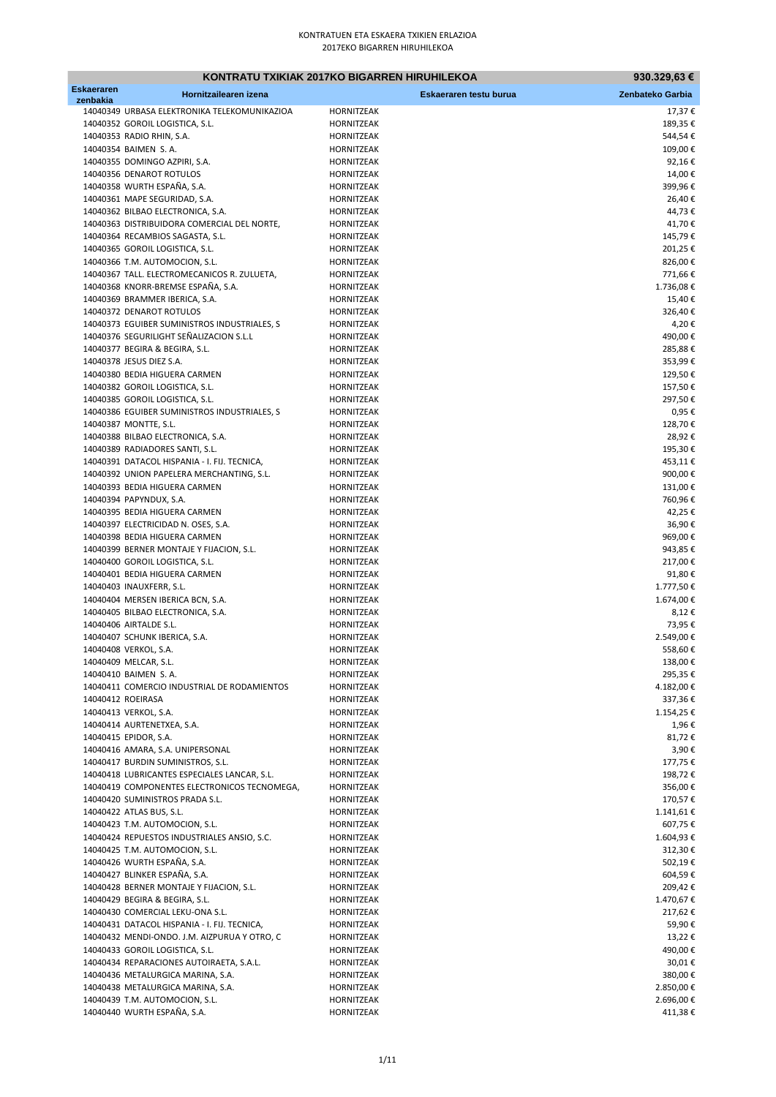|                               |                                                                                           | KONTRATU TXIKIAK 2017KO BIGARREN HIRUHILEKOA | 930.329,63 €           |
|-------------------------------|-------------------------------------------------------------------------------------------|----------------------------------------------|------------------------|
| <b>Eskaeraren</b><br>zenbakia | Hornitzailearen izena                                                                     | Eskaeraren testu burua                       | Zenbateko Garbia       |
|                               | 14040349 URBASA ELEKTRONIKA TELEKOMUNIKAZIOA                                              | <b>HORNITZEAK</b>                            | 17,37€                 |
|                               | 14040352 GOROIL LOGISTICA, S.L.                                                           | HORNITZEAK                                   | 189,35€                |
|                               | 14040353 RADIO RHIN, S.A.                                                                 | HORNITZEAK                                   | 544,54€                |
|                               | 14040354 BAIMEN S.A.                                                                      | HORNITZEAK                                   | 109,00€                |
|                               | 14040355 DOMINGO AZPIRI, S.A.                                                             | HORNITZEAK                                   | 92,16€                 |
|                               | 14040356 DENAROT ROTULOS                                                                  | <b>HORNITZEAK</b>                            | 14,00€                 |
|                               | 14040358 WURTH ESPAÑA, S.A.                                                               | HORNITZEAK                                   | 399,96€                |
|                               | 14040361 MAPE SEGURIDAD, S.A.                                                             | <b>HORNITZEAK</b>                            | 26,40€                 |
|                               | 14040362 BILBAO ELECTRONICA, S.A.                                                         | HORNITZEAK                                   | 44,73€                 |
|                               | 14040363 DISTRIBUIDORA COMERCIAL DEL NORTE,                                               | HORNITZEAK                                   | 41,70€                 |
|                               | 14040364 RECAMBIOS SAGASTA, S.L.                                                          | <b>HORNITZEAK</b>                            | 145,79€                |
|                               | 14040365 GOROIL LOGISTICA, S.L.<br>14040366 T.M. AUTOMOCION, S.L.                         | HORNITZEAK<br>HORNITZEAK                     | 201,25€<br>826,00€     |
|                               | 14040367 TALL. ELECTROMECANICOS R. ZULUETA,                                               | HORNITZEAK                                   | 771,66€                |
|                               | 14040368 KNORR-BREMSE ESPAÑA, S.A.                                                        | HORNITZEAK                                   | 1.736,08€              |
|                               | 14040369 BRAMMER IBERICA, S.A.                                                            | <b>HORNITZEAK</b>                            | 15,40€                 |
|                               | 14040372 DENAROT ROTULOS                                                                  | HORNITZEAK                                   | 326,40€                |
|                               | 14040373 EGUIBER SUMINISTROS INDUSTRIALES, S                                              | HORNITZEAK                                   | 4,20€                  |
|                               | 14040376 SEGURILIGHT SEÑALIZACION S.L.L                                                   | HORNITZEAK                                   | 490,00€                |
|                               | 14040377 BEGIRA & BEGIRA, S.L.                                                            | HORNITZEAK                                   | 285,88€                |
|                               | 14040378 JESUS DIEZ S.A.                                                                  | <b>HORNITZEAK</b>                            | 353,99€                |
|                               | 14040380 BEDIA HIGUERA CARMEN                                                             | HORNITZEAK                                   | 129,50€                |
|                               | 14040382 GOROIL LOGISTICA, S.L.                                                           | <b>HORNITZEAK</b>                            | 157,50€                |
|                               | 14040385 GOROIL LOGISTICA, S.L.                                                           | HORNITZEAK                                   | 297,50€                |
|                               | 14040386 EGUIBER SUMINISTROS INDUSTRIALES, S                                              | HORNITZEAK                                   | 0,95€                  |
|                               | 14040387 MONTTE, S.L.                                                                     | <b>HORNITZEAK</b>                            | 128,70€                |
|                               | 14040388 BILBAO ELECTRONICA, S.A.                                                         | HORNITZEAK                                   | 28,92€                 |
|                               | 14040389 RADIADORES SANTI, S.L.                                                           | HORNITZEAK<br>HORNITZEAK                     | 195,30€                |
|                               | 14040391 DATACOL HISPANIA - I. FIJ. TECNICA,<br>14040392 UNION PAPELERA MERCHANTING, S.L. | HORNITZEAK                                   | 453,11€<br>900,00€     |
|                               | 14040393 BEDIA HIGUERA CARMEN                                                             | <b>HORNITZEAK</b>                            | 131,00€                |
|                               | 14040394 PAPYNDUX, S.A.                                                                   | HORNITZEAK                                   | 760,96€                |
|                               | 14040395 BEDIA HIGUERA CARMEN                                                             | HORNITZEAK                                   | 42,25€                 |
|                               | 14040397 ELECTRICIDAD N. OSES, S.A.                                                       | HORNITZEAK                                   | 36,90€                 |
|                               | 14040398 BEDIA HIGUERA CARMEN                                                             | HORNITZEAK                                   | 969,00€                |
|                               | 14040399 BERNER MONTAJE Y FIJACION, S.L.                                                  | HORNITZEAK                                   | 943,85€                |
|                               | 14040400 GOROIL LOGISTICA, S.L.                                                           | HORNITZEAK                                   | 217,00€                |
|                               | 14040401 BEDIA HIGUERA CARMEN                                                             | HORNITZEAK                                   | 91,80€                 |
|                               | 14040403 INAUXFERR, S.L.                                                                  | HORNITZEAK                                   | 1.777,50€              |
|                               | 14040404 MERSEN IBERICA BCN, S.A.                                                         | HORNITZEAK                                   | 1.674,00€              |
|                               | 14040405 BILBAO ELECTRONICA, S.A.                                                         | HORNITZEAK                                   | 8,12€                  |
|                               | 14040406 AIRTALDE S.L.                                                                    | HORNITZEAK                                   | 73,95€                 |
|                               | 14040407 SCHUNK IBERICA, S.A.<br>14040408 VERKOL, S.A.                                    | HORNITZEAK<br><b>HORNITZEAK</b>              | 2.549,00€<br>558,60€   |
|                               | 14040409 MELCAR, S.L.                                                                     | HORNITZEAK                                   | 138,00€                |
|                               | 14040410 BAIMEN S.A.                                                                      | HORNITZEAK                                   | 295,35€                |
|                               | 14040411 COMERCIO INDUSTRIAL DE RODAMIENTOS                                               | HORNITZEAK                                   | 4.182,00€              |
|                               | 14040412 ROEIRASA                                                                         | HORNITZEAK                                   | 337,36€                |
|                               | 14040413 VERKOL, S.A.                                                                     | HORNITZEAK                                   | 1.154,25€              |
|                               | 14040414 AURTENETXEA, S.A.                                                                | HORNITZEAK                                   | 1,96€                  |
|                               | 14040415 EPIDOR, S.A.                                                                     | HORNITZEAK                                   | 81,72€                 |
|                               | 14040416 AMARA, S.A. UNIPERSONAL                                                          | HORNITZEAK                                   | 3,90€                  |
|                               | 14040417 BURDIN SUMINISTROS, S.L.                                                         | HORNITZEAK                                   | 177,75€                |
|                               | 14040418 LUBRICANTES ESPECIALES LANCAR, S.L.                                              | HORNITZEAK                                   | 198,72€                |
|                               | 14040419 COMPONENTES ELECTRONICOS TECNOMEGA,                                              | HORNITZEAK                                   | 356,00€                |
|                               | 14040420 SUMINISTROS PRADA S.L.                                                           | HORNITZEAK                                   | 170,57€                |
|                               | 14040422 ATLAS BUS, S.L.<br>14040423 T.M. AUTOMOCION, S.L.                                | HORNITZEAK<br>HORNITZEAK                     | 1.141,61€<br>607,75€   |
|                               | 14040424 REPUESTOS INDUSTRIALES ANSIO, S.C.                                               | HORNITZEAK                                   | 1.604,93€              |
|                               | 14040425 T.M. AUTOMOCION, S.L.                                                            | HORNITZEAK                                   | 312,30€                |
|                               | 14040426 WURTH ESPAÑA, S.A.                                                               | HORNITZEAK                                   | 502,19€                |
|                               | 14040427 BLINKER ESPAÑA, S.A.                                                             | HORNITZEAK                                   | 604,59€                |
|                               | 14040428 BERNER MONTAJE Y FIJACION, S.L.                                                  | HORNITZEAK                                   | 209,42€                |
|                               | 14040429 BEGIRA & BEGIRA, S.L.                                                            | HORNITZEAK                                   | 1.470,67€              |
|                               | 14040430 COMERCIAL LEKU-ONA S.L.                                                          | HORNITZEAK                                   | 217,62€                |
|                               | 14040431 DATACOL HISPANIA - I. FIJ. TECNICA,                                              | HORNITZEAK                                   | 59,90€                 |
|                               | 14040432 MENDI-ONDO. J.M. AIZPURUA Y OTRO, C                                              | HORNITZEAK                                   | 13,22€                 |
|                               | 14040433 GOROIL LOGISTICA, S.L.                                                           | HORNITZEAK                                   | 490,00€                |
|                               | 14040434 REPARACIONES AUTOIRAETA, S.A.L.                                                  | HORNITZEAK                                   | 30,01€                 |
|                               | 14040436 METALURGICA MARINA, S.A.                                                         | HORNITZEAK                                   | 380,00€                |
|                               | 14040438 METALURGICA MARINA, S.A.<br>14040439 T.M. AUTOMOCION, S.L.                       | HORNITZEAK<br>HORNITZEAK                     | 2.850,00€<br>2.696,00€ |
|                               | 14040440 WURTH ESPAÑA, S.A.                                                               | HORNITZEAK                                   | 411,38€                |
|                               |                                                                                           |                                              |                        |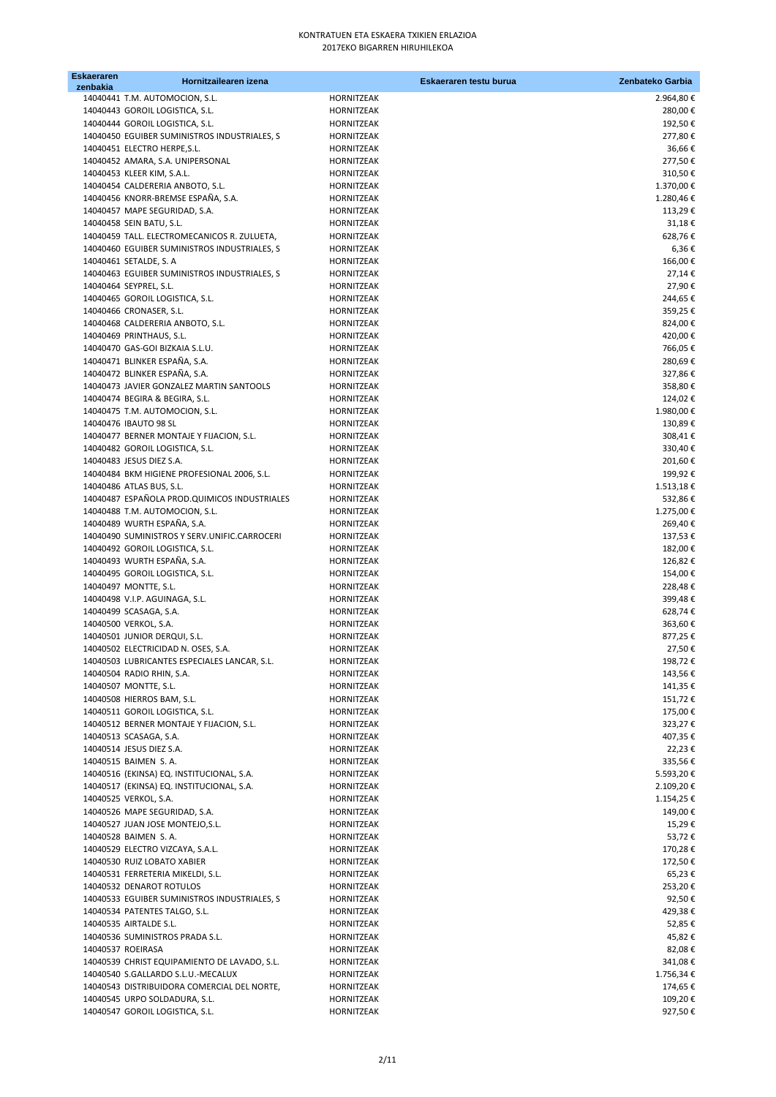| <b>Eskaeraren</b> | Hornitzailearen izena                        |                   | Eskaeraren testu burua | Zenbateko Garbia |
|-------------------|----------------------------------------------|-------------------|------------------------|------------------|
| zenbakia          | 14040441 T.M. AUTOMOCION, S.L.               | HORNITZEAK        |                        | 2.964,80€        |
|                   | 14040443 GOROIL LOGISTICA, S.L.              | HORNITZEAK        |                        | 280,00€          |
|                   | 14040444 GOROIL LOGISTICA, S.L.              | HORNITZEAK        |                        | 192,50€          |
|                   | 14040450 EGUIBER SUMINISTROS INDUSTRIALES, S | HORNITZEAK        |                        | 277,80€          |
|                   | 14040451 ELECTRO HERPE, S.L.                 | HORNITZEAK        |                        | 36,66€           |
|                   | 14040452 AMARA, S.A. UNIPERSONAL             | <b>HORNITZEAK</b> |                        | 277,50€          |
|                   | 14040453 KLEER KIM, S.A.L.                   | HORNITZEAK        |                        | 310,50€          |
|                   | 14040454 CALDERERIA ANBOTO, S.L.             | HORNITZEAK        |                        | 1.370,00€        |
|                   | 14040456 KNORR-BREMSE ESPAÑA, S.A.           | <b>HORNITZEAK</b> |                        | 1.280,46€        |
|                   | 14040457 MAPE SEGURIDAD, S.A.                | HORNITZEAK        |                        | 113,29€          |
|                   | 14040458 SEIN BATU, S.L.                     | HORNITZEAK        |                        | 31,18€           |
|                   | 14040459 TALL. ELECTROMECANICOS R. ZULUETA,  | <b>HORNITZEAK</b> |                        | 628,76€          |
|                   | 14040460 EGUIBER SUMINISTROS INDUSTRIALES, S | HORNITZEAK        |                        | 6,36€            |
|                   | 14040461 SETALDE, S. A                       | <b>HORNITZEAK</b> |                        | 166,00€          |
|                   | 14040463 EGUIBER SUMINISTROS INDUSTRIALES, S | HORNITZEAK        |                        | 27,14€           |
|                   | 14040464 SEYPREL, S.L.                       | HORNITZEAK        |                        | 27,90€           |
|                   | 14040465 GOROIL LOGISTICA, S.L.              | HORNITZEAK        |                        | 244,65€          |
|                   | 14040466 CRONASER, S.L.                      | HORNITZEAK        |                        | 359,25€          |
|                   | 14040468 CALDERERIA ANBOTO, S.L.             | HORNITZEAK        |                        | 824,00€          |
|                   | 14040469 PRINTHAUS, S.L.                     | HORNITZEAK        |                        | 420,00€          |
|                   | 14040470 GAS-GOI BIZKAIA S.L.U.              | HORNITZEAK        |                        | 766,05€          |
|                   | 14040471 BLINKER ESPAÑA, S.A.                | HORNITZEAK        |                        | 280,69€          |
|                   | 14040472 BLINKER ESPAÑA, S.A.                | HORNITZEAK        |                        | 327,86€          |
|                   | 14040473 JAVIER GONZALEZ MARTIN SANTOOLS     | <b>HORNITZEAK</b> |                        | 358,80€          |
|                   | 14040474 BEGIRA & BEGIRA, S.L.               | HORNITZEAK        |                        | 124,02€          |
|                   | 14040475 T.M. AUTOMOCION, S.L.               | HORNITZEAK        |                        | 1.980,00€        |
|                   | 14040476 IBAUTO 98 SL                        | HORNITZEAK        |                        | 130,89€          |
|                   | 14040477 BERNER MONTAJE Y FIJACION, S.L.     | HORNITZEAK        |                        | 308,41€          |
|                   | 14040482 GOROIL LOGISTICA, S.L.              | HORNITZEAK        |                        | 330,40€          |
|                   | 14040483 JESUS DIEZ S.A.                     | HORNITZEAK        |                        | 201,60€          |
|                   | 14040484 BKM HIGIENE PROFESIONAL 2006, S.L.  | HORNITZEAK        |                        | 199,92€          |
|                   | 14040486 ATLAS BUS, S.L.                     | <b>HORNITZEAK</b> |                        | 1.513,18€        |
|                   | 14040487 ESPAÑOLA PROD.QUIMICOS INDUSTRIALES | HORNITZEAK        |                        | 532,86€          |
|                   | 14040488 T.M. AUTOMOCION, S.L.               | HORNITZEAK        |                        | 1.275,00€        |
|                   | 14040489 WURTH ESPAÑA, S.A.                  | HORNITZEAK        |                        | 269,40€          |
|                   | 14040490 SUMINISTROS Y SERV.UNIFIC.CARROCERI | HORNITZEAK        |                        | 137,53€          |
|                   | 14040492 GOROIL LOGISTICA, S.L.              | HORNITZEAK        |                        | 182,00€          |
|                   | 14040493 WURTH ESPAÑA, S.A.                  | HORNITZEAK        |                        | 126,82€          |
|                   | 14040495 GOROIL LOGISTICA, S.L.              | HORNITZEAK        |                        | 154,00€          |
|                   | 14040497 MONTTE, S.L.                        | HORNITZEAK        |                        | 228,48€          |
|                   | 14040498 V.I.P. AGUINAGA, S.L.               | HORNITZEAK        |                        | 399,48€          |
|                   | 14040499 SCASAGA, S.A.                       | HORNITZEAK        |                        | 628,74€          |
|                   | 14040500 VERKOL, S.A.                        | HORNITZEAK        |                        | 363,60€          |
|                   | 14040501 JUNIOR DERQUI, S.L.                 | HORNITZEAK        |                        | 877,25€          |
|                   | 14040502 ELECTRICIDAD N. OSES, S.A.          | <b>HORNITZEAK</b> |                        | 27,50€           |
|                   | 14040503 LUBRICANTES ESPECIALES LANCAR, S.L. | HORNITZEAK        |                        | 198,72€          |
|                   | 14040504 RADIO RHIN, S.A.                    | HORNITZEAK        |                        | 143,56€          |
|                   | 14040507 MONTTE, S.L.                        | HORNITZEAK        |                        | 141,35€          |
|                   | 14040508 HIERROS BAM, S.L.                   | HORNITZEAK        |                        | 151,72€          |
|                   | 14040511 GOROIL LOGISTICA, S.L.              | HORNITZEAK        |                        | 175,00€          |
|                   | 14040512 BERNER MONTAJE Y FIJACION, S.L.     | HORNITZEAK        |                        | 323,27€          |
|                   | 14040513 SCASAGA, S.A.                       | HORNITZEAK        |                        | 407,35€          |
|                   | 14040514 JESUS DIEZ S.A.                     | <b>HORNITZEAK</b> |                        | 22,23€           |
|                   | 14040515 BAIMEN S.A.                         | HORNITZEAK        |                        | 335,56€          |
|                   | 14040516 (EKINSA) EQ. INSTITUCIONAL, S.A.    | HORNITZEAK        |                        | 5.593,20€        |
|                   | 14040517 (EKINSA) EQ. INSTITUCIONAL, S.A.    | HORNITZEAK        |                        | 2.109,20€        |
|                   | 14040525 VERKOL, S.A.                        | <b>HORNITZEAK</b> |                        | 1.154,25€        |
|                   | 14040526 MAPE SEGURIDAD, S.A.                | HORNITZEAK        |                        | 149,00€          |
|                   | 14040527 JUAN JOSE MONTEJO, S.L.             | HORNITZEAK        |                        | 15,29€           |
|                   | 14040528 BAIMEN S.A.                         | HORNITZEAK        |                        | 53,72€           |
|                   | 14040529 ELECTRO VIZCAYA, S.A.L.             | HORNITZEAK        |                        | 170,28€          |
|                   | 14040530 RUIZ LOBATO XABIER                  | HORNITZEAK        |                        | 172,50€          |
|                   | 14040531 FERRETERIA MIKELDI, S.L.            | HORNITZEAK        |                        | 65,23€           |
|                   | 14040532 DENAROT ROTULOS                     | HORNITZEAK        |                        | 253,20€          |
|                   | 14040533 EGUIBER SUMINISTROS INDUSTRIALES, S | HORNITZEAK        |                        | 92,50€           |
|                   | 14040534 PATENTES TALGO, S.L.                | HORNITZEAK        |                        | 429,38€          |
|                   | 14040535 AIRTALDE S.L.                       | HORNITZEAK        |                        | 52,85€           |
|                   | 14040536 SUMINISTROS PRADA S.L.              | HORNITZEAK        |                        | 45,82€           |
|                   | 14040537 ROEIRASA                            | HORNITZEAK        |                        | 82,08€           |
|                   | 14040539 CHRIST EQUIPAMIENTO DE LAVADO, S.L. | HORNITZEAK        |                        | 341,08€          |
|                   | 14040540 S.GALLARDO S.L.U.-MECALUX           | HORNITZEAK        |                        | 1.756,34€        |
|                   | 14040543 DISTRIBUIDORA COMERCIAL DEL NORTE,  | HORNITZEAK        |                        | 174,65€          |
|                   | 14040545 URPO SOLDADURA, S.L.                | HORNITZEAK        |                        | 109,20€          |
|                   | 14040547 GOROIL LOGISTICA, S.L.              | HORNITZEAK        |                        | 927,50€          |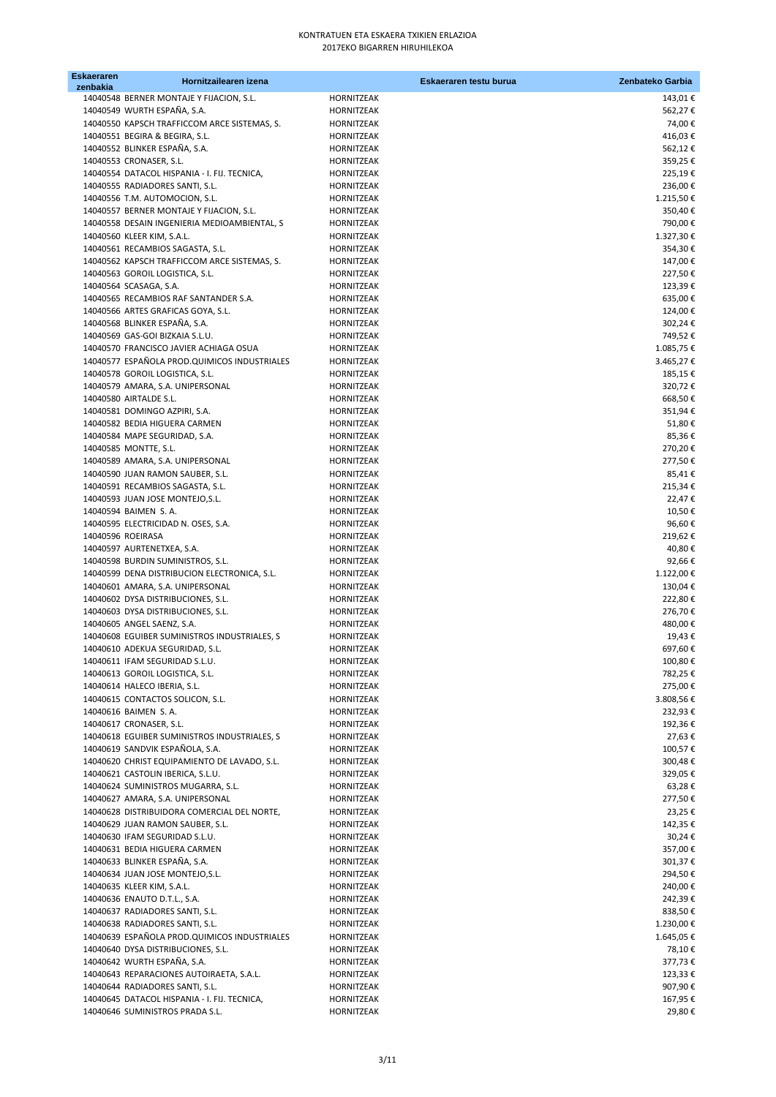| <b>Eskaeraren</b> | Hornitzailearen izena                                                      |                   | Eskaeraren testu burua | Zenbateko Garbia     |
|-------------------|----------------------------------------------------------------------------|-------------------|------------------------|----------------------|
| zenbakia          | 14040548 BERNER MONTAJE Y FIJACION, S.L.                                   | <b>HORNITZEAK</b> |                        | 143,01€              |
|                   | 14040549 WURTH ESPAÑA, S.A.                                                | HORNITZEAK        |                        | 562,27€              |
|                   | 14040550 KAPSCH TRAFFICCOM ARCE SISTEMAS, S.                               | HORNITZEAK        |                        | 74,00€               |
|                   | 14040551 BEGIRA & BEGIRA, S.L.                                             | <b>HORNITZEAK</b> |                        | 416,03€              |
|                   | 14040552 BLINKER ESPAÑA, S.A.                                              | <b>HORNITZEAK</b> |                        | 562,12€              |
|                   | 14040553 CRONASER, S.L.                                                    | HORNITZEAK        |                        | 359,25€              |
|                   | 14040554 DATACOL HISPANIA - I. FIJ. TECNICA,                               | HORNITZEAK        |                        | 225,19€              |
|                   | 14040555 RADIADORES SANTI, S.L.                                            | HORNITZEAK        |                        | 236,00€              |
|                   |                                                                            | HORNITZEAK        |                        |                      |
|                   | 14040556 T.M. AUTOMOCION, S.L.<br>14040557 BERNER MONTAJE Y FIJACION, S.L. | HORNITZEAK        |                        | 1.215,50€<br>350,40€ |
|                   |                                                                            | <b>HORNITZEAK</b> |                        |                      |
|                   | 14040558 DESAIN INGENIERIA MEDIOAMBIENTAL, S<br>14040560 KLEER KIM, S.A.L. |                   |                        | 790,00€              |
|                   | 14040561 RECAMBIOS SAGASTA, S.L.                                           | HORNITZEAK        |                        | 1.327,30€            |
|                   | 14040562 KAPSCH TRAFFICCOM ARCE SISTEMAS, S.                               | HORNITZEAK        |                        | 354,30€              |
|                   |                                                                            | HORNITZEAK        |                        | 147,00€              |
|                   | 14040563 GOROIL LOGISTICA, S.L.                                            | HORNITZEAK        |                        | 227,50€              |
|                   | 14040564 SCASAGA, S.A.                                                     | HORNITZEAK        |                        | 123,39€              |
|                   | 14040565 RECAMBIOS RAF SANTANDER S.A.                                      | HORNITZEAK        |                        | 635,00€              |
|                   | 14040566 ARTES GRAFICAS GOYA, S.L.                                         | HORNITZEAK        |                        | 124,00€              |
|                   | 14040568 BLINKER ESPAÑA, S.A.<br>14040569 GAS-GOI BIZKAIA S.L.U.           | <b>HORNITZEAK</b> |                        | 302,24€<br>749,52€   |
|                   |                                                                            | <b>HORNITZEAK</b> |                        |                      |
|                   | 14040570 FRANCISCO JAVIER ACHIAGA OSUA                                     | HORNITZEAK        |                        | 1.085,75€            |
|                   | 14040577 ESPAÑOLA PROD.QUIMICOS INDUSTRIALES                               | HORNITZEAK        |                        | 3.465,27€            |
|                   | 14040578 GOROIL LOGISTICA, S.L.                                            | HORNITZEAK        |                        | 185,15€              |
|                   | 14040579 AMARA, S.A. UNIPERSONAL                                           | <b>HORNITZEAK</b> |                        | 320,72€              |
|                   | 14040580 AIRTALDE S.L.                                                     | HORNITZEAK        |                        | 668,50€              |
|                   | 14040581 DOMINGO AZPIRI, S.A.                                              | HORNITZEAK        |                        | 351,94€              |
|                   | 14040582 BEDIA HIGUERA CARMEN                                              | HORNITZEAK        |                        | 51,80€               |
|                   | 14040584 MAPE SEGURIDAD, S.A.                                              | HORNITZEAK        |                        | 85,36€               |
|                   | 14040585 MONTTE, S.L.                                                      | HORNITZEAK        |                        | 270,20€              |
|                   | 14040589 AMARA, S.A. UNIPERSONAL                                           | HORNITZEAK        |                        | 277,50€              |
|                   | 14040590 JUAN RAMON SAUBER, S.L.                                           | HORNITZEAK        |                        | 85,41€               |
|                   | 14040591 RECAMBIOS SAGASTA, S.L.                                           | <b>HORNITZEAK</b> |                        | 215,34€              |
|                   | 14040593 JUAN JOSE MONTEJO, S.L.                                           | HORNITZEAK        |                        | 22,47€               |
|                   | 14040594 BAIMEN S.A.                                                       | HORNITZEAK        |                        | 10,50€               |
|                   | 14040595 ELECTRICIDAD N. OSES, S.A.                                        | HORNITZEAK        |                        | 96,60€               |
|                   | 14040596 ROEIRASA                                                          | HORNITZEAK        |                        | 219,62€              |
|                   | 14040597 AURTENETXEA, S.A.                                                 | <b>HORNITZEAK</b> |                        | 40,80€               |
|                   | 14040598 BURDIN SUMINISTROS, S.L.                                          | HORNITZEAK        |                        | 92,66€               |
|                   | 14040599 DENA DISTRIBUCION ELECTRONICA, S.L.                               | HORNITZEAK        |                        | 1.122,00€            |
|                   | 14040601 AMARA, S.A. UNIPERSONAL                                           | HORNITZEAK        |                        | 130,04€              |
|                   | 14040602 DYSA DISTRIBUCIONES, S.L.                                         | HORNITZEAK        |                        | 222,80€              |
|                   | 14040603 DYSA DISTRIBUCIONES, S.L.                                         | <b>HORNITZEAK</b> |                        | 276,70€              |
|                   | 14040605 ANGEL SAENZ, S.A.                                                 | HORNITZEAK        |                        | 480,00€              |
|                   | 14040608 EGUIBER SUMINISTROS INDUSTRIALES, S                               | HORNITZEAK        |                        | 19,43€               |
|                   | 14040610 ADEKUA SEGURIDAD, S.L.                                            | <b>HORNITZEAK</b> |                        | 697,60€              |
|                   | 14040611 IFAM SEGURIDAD S.L.U.                                             | HORNITZEAK        |                        | 100,80€              |
|                   | 14040613 GOROIL LOGISTICA, S.L.                                            | HORNITZEAK        |                        | 782,25€              |
|                   | 14040614 HALECO IBERIA, S.L.                                               | <b>HORNITZEAK</b> |                        | 275,00€              |
|                   | 14040615 CONTACTOS SOLICON, S.L.                                           | HORNITZEAK        |                        | 3.808,56€            |
|                   | 14040616 BAIMEN S.A.                                                       | HORNITZEAK        |                        | 232,93€              |
|                   | 14040617 CRONASER, S.L.                                                    | <b>HORNITZEAK</b> |                        | 192,36€              |
|                   | 14040618 EGUIBER SUMINISTROS INDUSTRIALES, S                               | HORNITZEAK        |                        | 27,63€               |
|                   | 14040619 SANDVIK ESPAÑOLA, S.A.                                            | HORNITZEAK        |                        | 100,57€              |
|                   | 14040620 CHRIST EQUIPAMIENTO DE LAVADO, S.L.                               | HORNITZEAK        |                        | 300,48€              |
|                   | 14040621 CASTOLIN IBERICA, S.L.U.                                          | HORNITZEAK        |                        | 329,05€              |
|                   | 14040624 SUMINISTROS MUGARRA, S.L.                                         | HORNITZEAK        |                        | 63,28€               |
|                   | 14040627 AMARA, S.A. UNIPERSONAL                                           | <b>HORNITZEAK</b> |                        | 277,50€              |
|                   | 14040628 DISTRIBUIDORA COMERCIAL DEL NORTE,                                | HORNITZEAK        |                        | 23,25€               |
|                   | 14040629 JUAN RAMON SAUBER, S.L.                                           | HORNITZEAK        |                        | 142,35€              |
|                   | 14040630 IFAM SEGURIDAD S.L.U.                                             | HORNITZEAK        |                        | 30,24€               |
|                   | 14040631 BEDIA HIGUERA CARMEN                                              | HORNITZEAK        |                        | 357,00€              |
|                   | 14040633 BLINKER ESPAÑA, S.A.                                              | <b>HORNITZEAK</b> |                        | 301,37€              |
|                   | 14040634 JUAN JOSE MONTEJO, S.L.                                           | HORNITZEAK        |                        | 294,50€              |
|                   | 14040635 KLEER KIM, S.A.L.                                                 | HORNITZEAK        |                        | 240,00€              |
|                   | 14040636 ENAUTO D.T.L., S.A.                                               | HORNITZEAK        |                        | 242,39€              |
|                   | 14040637 RADIADORES SANTI, S.L.                                            | HORNITZEAK        |                        | 838,50€              |
|                   | 14040638 RADIADORES SANTI, S.L.                                            | HORNITZEAK        |                        | 1.230,00€            |
|                   | 14040639 ESPAÑOLA PROD.QUIMICOS INDUSTRIALES                               | HORNITZEAK        |                        | 1.645,05€            |
|                   | 14040640 DYSA DISTRIBUCIONES, S.L.                                         | HORNITZEAK        |                        | 78,10€               |
|                   | 14040642 WURTH ESPAÑA, S.A.                                                | HORNITZEAK        |                        | 377,73€              |
|                   | 14040643 REPARACIONES AUTOIRAETA, S.A.L.                                   | HORNITZEAK        |                        | 123,33€              |
|                   | 14040644 RADIADORES SANTI, S.L.                                            | HORNITZEAK        |                        | 907,90€              |
|                   | 14040645 DATACOL HISPANIA - I. FIJ. TECNICA,                               | HORNITZEAK        |                        | 167,95€              |
|                   | 14040646 SUMINISTROS PRADA S.L.                                            | HORNITZEAK        |                        | 29,80€               |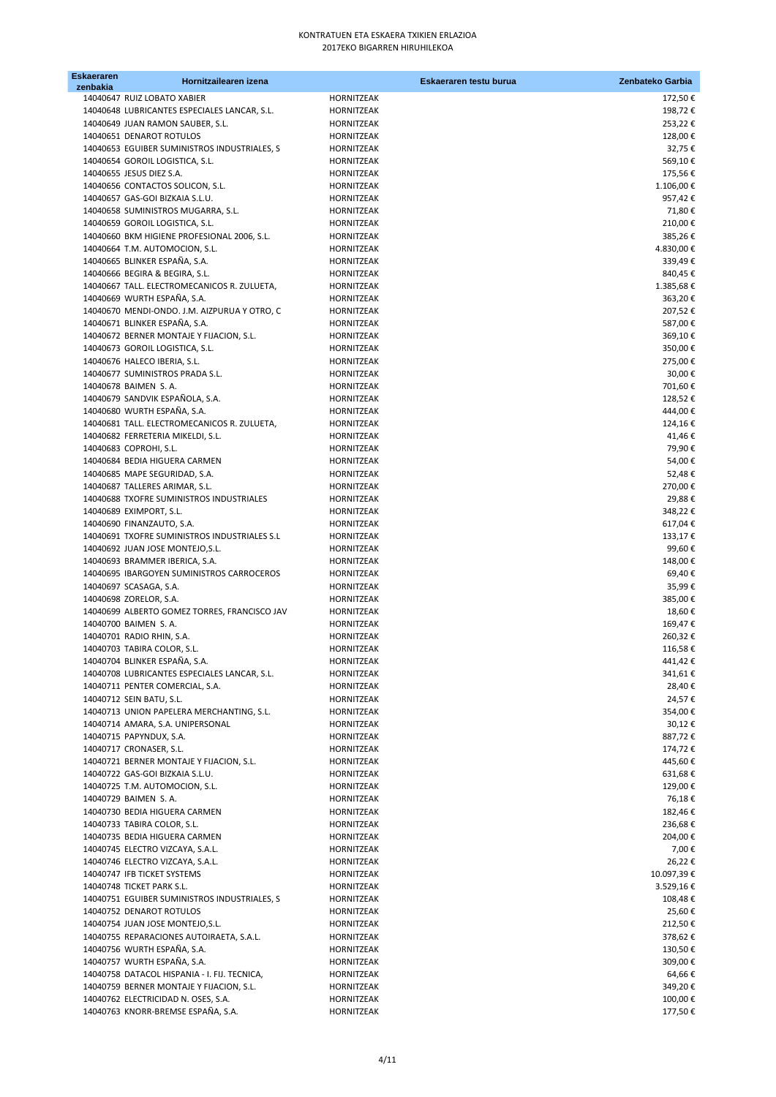| <b>Eskaeraren</b> | Hornitzailearen izena                                                           |                          | Eskaeraren testu burua | Zenbateko Garbia  |
|-------------------|---------------------------------------------------------------------------------|--------------------------|------------------------|-------------------|
| zenbakia          | 14040647 RUIZ LOBATO XABIER                                                     | HORNITZEAK               |                        | 172,50€           |
|                   | 14040648 LUBRICANTES ESPECIALES LANCAR, S.L.                                    | HORNITZEAK               |                        | 198,72€           |
|                   | 14040649 JUAN RAMON SAUBER, S.L.                                                | HORNITZEAK               |                        | 253,22€           |
|                   | 14040651 DENAROT ROTULOS                                                        | HORNITZEAK               |                        | 128,00€           |
|                   | 14040653 EGUIBER SUMINISTROS INDUSTRIALES, S                                    | HORNITZEAK               |                        | 32,75€            |
|                   | 14040654 GOROIL LOGISTICA, S.L.                                                 | HORNITZEAK               |                        | 569,10€           |
|                   | 14040655 JESUS DIEZ S.A.                                                        | HORNITZEAK               |                        | 175,56€           |
|                   | 14040656 CONTACTOS SOLICON, S.L.                                                | HORNITZEAK               |                        | 1.106,00€         |
|                   | 14040657 GAS-GOI BIZKAIA S.L.U.                                                 | HORNITZEAK               |                        | 957,42€           |
|                   | 14040658 SUMINISTROS MUGARRA, S.L.                                              | HORNITZEAK               |                        | 71,80€            |
|                   | 14040659 GOROIL LOGISTICA, S.L.                                                 | HORNITZEAK               |                        | 210,00€           |
|                   | 14040660 BKM HIGIENE PROFESIONAL 2006, S.L.                                     | HORNITZEAK               |                        | 385,26€           |
|                   | 14040664 T.M. AUTOMOCION, S.L.                                                  | HORNITZEAK               |                        | 4.830,00€         |
|                   | 14040665 BLINKER ESPAÑA, S.A.                                                   | HORNITZEAK               |                        | 339,49€           |
|                   | 14040666 BEGIRA & BEGIRA, S.L.                                                  | HORNITZEAK               |                        | 840,45€           |
|                   | 14040667 TALL. ELECTROMECANICOS R. ZULUETA,                                     | HORNITZEAK               |                        | 1.385,68€         |
|                   | 14040669 WURTH ESPAÑA, S.A.                                                     | HORNITZEAK               |                        | 363,20€           |
|                   | 14040670 MENDI-ONDO. J.M. AIZPURUA Y OTRO, C                                    | HORNITZEAK               |                        | 207,52€           |
|                   | 14040671 BLINKER ESPAÑA, S.A.                                                   | HORNITZEAK               |                        | 587,00€           |
|                   | 14040672 BERNER MONTAJE Y FIJACION, S.L.                                        | HORNITZEAK               |                        | 369,10€           |
|                   | 14040673 GOROIL LOGISTICA, S.L.                                                 | HORNITZEAK               |                        | 350,00€           |
|                   | 14040676 HALECO IBERIA, S.L.                                                    | HORNITZEAK               |                        | 275,00€           |
|                   | 14040677 SUMINISTROS PRADA S.L.                                                 | HORNITZEAK               |                        | 30,00€            |
|                   | 14040678 BAIMEN S.A.                                                            | HORNITZEAK               |                        | 701,60€           |
|                   | 14040679 SANDVIK ESPAÑOLA, S.A.                                                 | HORNITZEAK               |                        | 128,52€           |
|                   | 14040680 WURTH ESPAÑA, S.A.                                                     | HORNITZEAK               |                        | 444,00€           |
|                   | 14040681 TALL. ELECTROMECANICOS R. ZULUETA,                                     | HORNITZEAK               |                        | 124,16€           |
|                   | 14040682 FERRETERIA MIKELDI, S.L.                                               | HORNITZEAK               |                        | 41,46€            |
|                   | 14040683 COPROHI, S.L.                                                          | HORNITZEAK               |                        | 79,90€            |
|                   | 14040684 BEDIA HIGUERA CARMEN                                                   | HORNITZEAK               |                        | 54,00€            |
|                   | 14040685 MAPE SEGURIDAD, S.A.                                                   | HORNITZEAK               |                        | 52,48€            |
|                   | 14040687 TALLERES ARIMAR, S.L.                                                  | HORNITZEAK               |                        | 270,00€           |
|                   | 14040688 TXOFRE SUMINISTROS INDUSTRIALES                                        | HORNITZEAK               |                        | 29,88€            |
|                   | 14040689 EXIMPORT, S.L.                                                         | HORNITZEAK               |                        | 348,22€           |
|                   | 14040690 FINANZAUTO, S.A.                                                       | HORNITZEAK               |                        | 617,04€           |
|                   | 14040691 TXOFRE SUMINISTROS INDUSTRIALES S.L                                    | HORNITZEAK               |                        | 133,17€           |
|                   | 14040692 JUAN JOSE MONTEJO, S.L.                                                | HORNITZEAK               |                        | 99,60€            |
|                   | 14040693 BRAMMER IBERICA, S.A.                                                  | HORNITZEAK               |                        | 148,00€           |
|                   | 14040695 IBARGOYEN SUMINISTROS CARROCEROS                                       | HORNITZEAK               |                        | 69,40€            |
|                   | 14040697 SCASAGA, S.A.                                                          | HORNITZEAK               |                        | 35,99€            |
|                   | 14040698 ZORELOR, S.A.                                                          | HORNITZEAK               |                        | 385,00€           |
|                   | 14040699 ALBERTO GOMEZ TORRES, FRANCISCO JAV                                    | <b>HORNITZEAK</b>        |                        | 18,60€            |
|                   | 14040700 BAIMEN S.A.                                                            | HORNITZEAK               |                        | 169,47€           |
|                   | 14040701 RADIO RHIN, S.A.                                                       | HORNITZEAK               |                        | 260,32€           |
|                   | 14040703 TABIRA COLOR, S.L.                                                     | HORNITZEAK               |                        | 116,58€           |
|                   | 14040704 BLINKER ESPAÑA, S.A.                                                   | HORNITZEAK               |                        | 441,42€           |
|                   | 14040708 LUBRICANTES ESPECIALES LANCAR, S.L.<br>14040711 PENTER COMERCIAL, S.A. | HORNITZEAK               |                        | 341,61€           |
|                   | 14040712 SEIN BATU, S.L.                                                        | HORNITZEAK               |                        | 28,40€            |
|                   | 14040713 UNION PAPELERA MERCHANTING, S.L.                                       | HORNITZEAK<br>HORNITZEAK |                        | 24,57€<br>354,00€ |
|                   | 14040714 AMARA, S.A. UNIPERSONAL                                                | HORNITZEAK               |                        | 30,12€            |
|                   | 14040715 PAPYNDUX, S.A.                                                         | HORNITZEAK               |                        | 887,72€           |
|                   | 14040717 CRONASER, S.L.                                                         | HORNITZEAK               |                        | 174,72€           |
|                   | 14040721 BERNER MONTAJE Y FIJACION, S.L.                                        | HORNITZEAK               |                        | 445,60€           |
|                   | 14040722 GAS-GOI BIZKAIA S.L.U.                                                 | HORNITZEAK               |                        | 631,68€           |
|                   | 14040725 T.M. AUTOMOCION, S.L.                                                  | HORNITZEAK               |                        | 129,00€           |
|                   | 14040729 BAIMEN S.A.                                                            | HORNITZEAK               |                        | 76,18€            |
|                   | 14040730 BEDIA HIGUERA CARMEN                                                   | HORNITZEAK               |                        | 182,46€           |
|                   | 14040733 TABIRA COLOR, S.L.                                                     | HORNITZEAK               |                        | 236,68€           |
|                   | 14040735 BEDIA HIGUERA CARMEN                                                   | HORNITZEAK               |                        | 204,00€           |
|                   | 14040745 ELECTRO VIZCAYA, S.A.L.                                                | HORNITZEAK               |                        | 7,00€             |
|                   | 14040746 ELECTRO VIZCAYA, S.A.L.                                                | HORNITZEAK               |                        | 26,22€            |
|                   | 14040747 IFB TICKET SYSTEMS                                                     | HORNITZEAK               |                        | 10.097,39€        |
|                   | 14040748 TICKET PARK S.L.                                                       | HORNITZEAK               |                        | 3.529,16€         |
|                   | 14040751 EGUIBER SUMINISTROS INDUSTRIALES, S                                    | HORNITZEAK               |                        | 108,48€           |
|                   | 14040752 DENAROT ROTULOS                                                        | HORNITZEAK               |                        | 25,60€            |
|                   | 14040754 JUAN JOSE MONTEJO, S.L.                                                | HORNITZEAK               |                        | 212,50€           |
|                   | 14040755 REPARACIONES AUTOIRAETA, S.A.L.                                        | HORNITZEAK               |                        | 378,62€           |
|                   | 14040756 WURTH ESPAÑA, S.A.                                                     | HORNITZEAK               |                        | 130,50€           |
|                   | 14040757 WURTH ESPAÑA, S.A.                                                     | HORNITZEAK               |                        | 309,00€           |
|                   | 14040758 DATACOL HISPANIA - I. FIJ. TECNICA,                                    | HORNITZEAK               |                        | 64,66€            |
|                   | 14040759 BERNER MONTAJE Y FIJACION, S.L.                                        | HORNITZEAK               |                        | 349,20€           |
|                   | 14040762 ELECTRICIDAD N. OSES, S.A.                                             | HORNITZEAK               |                        | 100,00€           |
|                   | 14040763 KNORR-BREMSE ESPAÑA, S.A.                                              | HORNITZEAK               |                        | 177,50€           |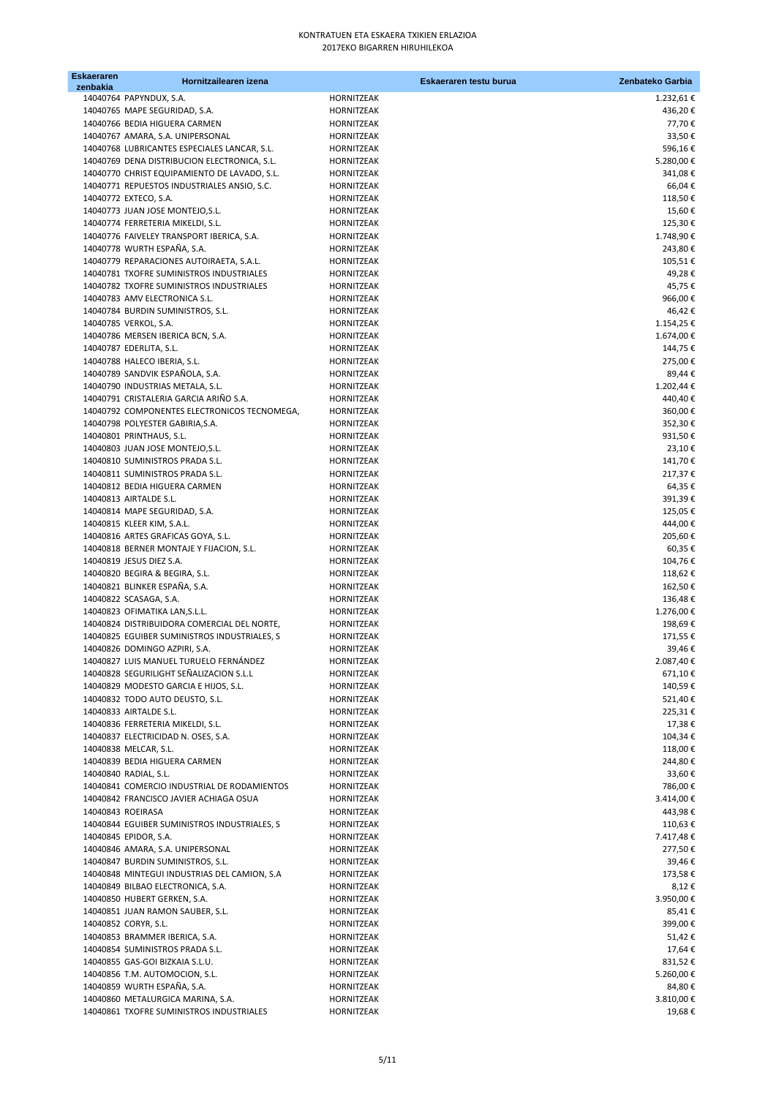| <b>Eskaeraren</b> | Hornitzailearen izena                        |                   | Eskaeraren testu burua | Zenbateko Garbia |
|-------------------|----------------------------------------------|-------------------|------------------------|------------------|
| zenbakia          | 14040764 PAPYNDUX, S.A.                      | HORNITZEAK        |                        | 1.232,61€        |
|                   | 14040765 MAPE SEGURIDAD, S.A.                | HORNITZEAK        |                        | 436,20€          |
|                   | 14040766 BEDIA HIGUERA CARMEN                | HORNITZEAK        |                        | 77,70€           |
|                   | 14040767 AMARA, S.A. UNIPERSONAL             | <b>HORNITZEAK</b> |                        | 33,50€           |
|                   | 14040768 LUBRICANTES ESPECIALES LANCAR, S.L. | <b>HORNITZEAK</b> |                        | 596,16€          |
|                   | 14040769 DENA DISTRIBUCION ELECTRONICA, S.L. | HORNITZEAK        |                        | 5.280,00€        |
|                   | 14040770 CHRIST EQUIPAMIENTO DE LAVADO, S.L. | HORNITZEAK        |                        | 341,08€          |
|                   | 14040771 REPUESTOS INDUSTRIALES ANSIO, S.C.  | HORNITZEAK        |                        | 66,04€           |
|                   | 14040772 EXTECO, S.A.                        | HORNITZEAK        |                        | 118,50€          |
|                   | 14040773 JUAN JOSE MONTEJO, S.L.             | HORNITZEAK        |                        | 15,60€           |
|                   | 14040774 FERRETERIA MIKELDI, S.L.            | HORNITZEAK        |                        | 125,30€          |
|                   | 14040776 FAIVELEY TRANSPORT IBERICA, S.A.    | HORNITZEAK        |                        | 1.748,90€        |
|                   | 14040778 WURTH ESPAÑA, S.A.                  | HORNITZEAK        |                        | 243,80€          |
|                   | 14040779 REPARACIONES AUTOIRAETA, S.A.L.     | <b>HORNITZEAK</b> |                        | 105,51€          |
|                   | 14040781 TXOFRE SUMINISTROS INDUSTRIALES     | HORNITZEAK        |                        | 49,28€           |
|                   | 14040782 TXOFRE SUMINISTROS INDUSTRIALES     | HORNITZEAK        |                        | 45,75€           |
|                   | 14040783 AMV ELECTRONICA S.L.                | HORNITZEAK        |                        | 966,00€          |
|                   | 14040784 BURDIN SUMINISTROS, S.L.            | HORNITZEAK        |                        | 46,42€           |
|                   | 14040785 VERKOL, S.A.                        | <b>HORNITZEAK</b> |                        | 1.154,25€        |
|                   | 14040786 MERSEN IBERICA BCN, S.A.            | <b>HORNITZEAK</b> |                        | 1.674,00€        |
|                   | 14040787 EDERLITA, S.L.                      | HORNITZEAK        |                        | 144,75€          |
|                   | 14040788 HALECO IBERIA, S.L.                 | HORNITZEAK        |                        | 275,00€          |
|                   | 14040789 SANDVIK ESPAÑOLA, S.A.              | HORNITZEAK        |                        | 89,44€           |
|                   | 14040790 INDUSTRIAS METALA, S.L.             | <b>HORNITZEAK</b> |                        | 1.202,44 €       |
|                   | 14040791 CRISTALERIA GARCIA ARIÑO S.A.       | <b>HORNITZEAK</b> |                        | 440,40€          |
|                   | 14040792 COMPONENTES ELECTRONICOS TECNOMEGA, | HORNITZEAK        |                        | 360,00€          |
|                   | 14040798 POLYESTER GABIRIA, S.A.             | HORNITZEAK        |                        | 352,30€          |
|                   | 14040801 PRINTHAUS, S.L.                     | HORNITZEAK        |                        | 931,50€          |
|                   | 14040803 JUAN JOSE MONTEJO, S.L.             | <b>HORNITZEAK</b> |                        | 23,10€           |
|                   | 14040810 SUMINISTROS PRADA S.L.              | HORNITZEAK        |                        | 141,70€          |
|                   | 14040811 SUMINISTROS PRADA S.L.              | HORNITZEAK        |                        | 217,37€          |
|                   | 14040812 BEDIA HIGUERA CARMEN                | <b>HORNITZEAK</b> |                        | 64,35€           |
|                   | 14040813 AIRTALDE S.L.                       | HORNITZEAK        |                        | 391,39€          |
|                   | 14040814 MAPE SEGURIDAD, S.A.                | HORNITZEAK        |                        | 125,05€          |
|                   | 14040815 KLEER KIM, S.A.L.                   | HORNITZEAK        |                        | 444,00€          |
|                   | 14040816 ARTES GRAFICAS GOYA, S.L.           | HORNITZEAK        |                        | 205,60€          |
|                   | 14040818 BERNER MONTAJE Y FIJACION, S.L.     | HORNITZEAK        |                        | 60,35€           |
|                   | 14040819 JESUS DIEZ S.A.                     | HORNITZEAK        |                        | 104,76€          |
|                   | 14040820 BEGIRA & BEGIRA, S.L.               | HORNITZEAK        |                        | 118,62€          |
|                   | 14040821 BLINKER ESPAÑA, S.A.                | HORNITZEAK        |                        | 162,50€          |
|                   | 14040822 SCASAGA, S.A.                       | <b>HORNITZEAK</b> |                        | 136,48€          |
|                   | 14040823 OFIMATIKA LAN, S.L.L.               | <b>HORNITZEAK</b> |                        | 1.276,00€        |
|                   | 14040824 DISTRIBUIDORA COMERCIAL DEL NORTE,  | HORNITZEAK        |                        | 198,69€          |
|                   | 14040825 EGUIBER SUMINISTROS INDUSTRIALES, S | HORNITZEAK        |                        | 171,55€          |
|                   | 14040826 DOMINGO AZPIRI, S.A.                | HORNITZEAK        |                        | 39,46€           |
|                   | 14040827 LUIS MANUEL TURUELO FERNÁNDEZ       | HORNITZEAK        |                        | 2.087,40€        |
|                   | 14040828 SEGURILIGHT SEÑALIZACION S.L.L      | HORNITZEAK        |                        | 671,10€          |
|                   | 14040829 MODESTO GARCIA E HIJOS, S.L.        | HORNITZEAK        |                        | 140,59€          |
|                   | 14040832 TODO AUTO DEUSTO, S.L.              | HORNITZEAK        |                        | 521,40€          |
|                   | 14040833 AIRTALDE S.L.                       | HORNITZEAK        |                        | 225,31€          |
|                   | 14040836 FERRETERIA MIKELDI, S.L.            | HORNITZEAK        |                        | 17,38€           |
|                   | 14040837 ELECTRICIDAD N. OSES, S.A.          | HORNITZEAK        |                        | 104,34€          |
|                   | 14040838 MELCAR, S.L.                        | HORNITZEAK        |                        | 118,00€          |
|                   | 14040839 BEDIA HIGUERA CARMEN                | HORNITZEAK        |                        | 244,80€          |
|                   | 14040840 RADIAL, S.L.                        | HORNITZEAK        |                        | 33,60€           |
|                   | 14040841 COMERCIO INDUSTRIAL DE RODAMIENTOS  | <b>HORNITZEAK</b> |                        | 786,00€          |
|                   | 14040842 FRANCISCO JAVIER ACHIAGA OSUA       | HORNITZEAK        |                        | 3.414,00€        |
| 14040843 ROEIRASA |                                              | HORNITZEAK        |                        | 443,98€          |
|                   | 14040844 EGUIBER SUMINISTROS INDUSTRIALES, S | HORNITZEAK        |                        | 110,63€          |
|                   | 14040845 EPIDOR, S.A.                        | HORNITZEAK        |                        | 7.417,48€        |
|                   | 14040846 AMARA, S.A. UNIPERSONAL             | HORNITZEAK        |                        | 277,50€          |
|                   | 14040847 BURDIN SUMINISTROS, S.L.            | HORNITZEAK        |                        | 39,46€           |
|                   | 14040848 MINTEGUI INDUSTRIAS DEL CAMION, S.A | HORNITZEAK        |                        | 173,58€          |
|                   | 14040849 BILBAO ELECTRONICA, S.A.            | HORNITZEAK        |                        | 8,12€            |
|                   | 14040850 HUBERT GERKEN, S.A.                 | HORNITZEAK        |                        | 3.950,00€        |
|                   | 14040851 JUAN RAMON SAUBER, S.L.             | HORNITZEAK        |                        | 85,41€           |
|                   | 14040852 CORYR, S.L.                         | HORNITZEAK        |                        | 399,00 €         |
|                   | 14040853 BRAMMER IBERICA, S.A.               | HORNITZEAK        |                        | 51,42€           |
|                   | 14040854 SUMINISTROS PRADA S.L.              | HORNITZEAK        |                        | 17,64€           |
|                   | 14040855 GAS-GOI BIZKAIA S.L.U.              | HORNITZEAK        |                        | 831,52€          |
|                   | 14040856 T.M. AUTOMOCION, S.L.               | HORNITZEAK        |                        | 5.260,00€        |
|                   | 14040859 WURTH ESPAÑA, S.A.                  | HORNITZEAK        |                        | 84,80€           |
|                   | 14040860 METALURGICA MARINA, S.A.            | HORNITZEAK        |                        | 3.810,00€        |
|                   | 14040861 TXOFRE SUMINISTROS INDUSTRIALES     | HORNITZEAK        |                        | 19,68€           |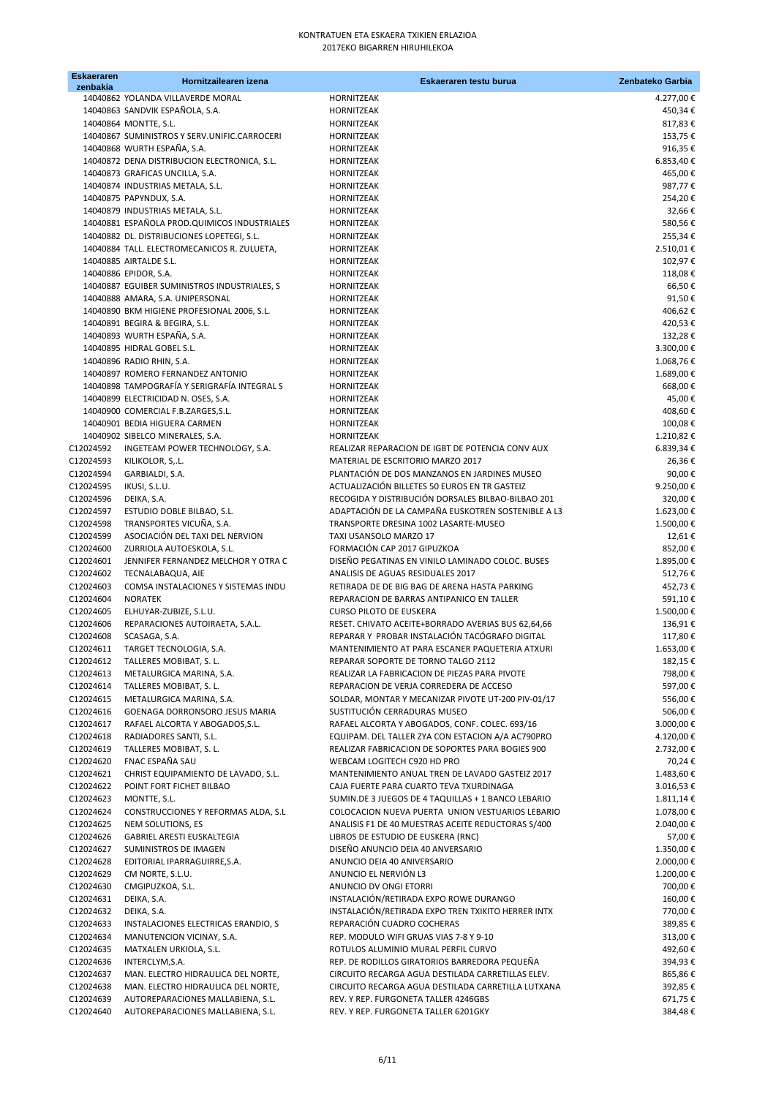| <b>Eskaeraren</b><br>zenbakia | Hornitzailearen izena                                                   | Eskaeraren testu burua                                                                                 | Zenbateko Garbia       |
|-------------------------------|-------------------------------------------------------------------------|--------------------------------------------------------------------------------------------------------|------------------------|
|                               | 14040862 YOLANDA VILLAVERDE MORAL                                       | <b>HORNITZEAK</b>                                                                                      | 4.277,00€              |
|                               | 14040863 SANDVIK ESPAÑOLA, S.A.                                         | <b>HORNITZEAK</b>                                                                                      | 450,34€                |
|                               | 14040864 MONTTE, S.L.                                                   | <b>HORNITZEAK</b>                                                                                      | 817,83€                |
|                               | 14040867 SUMINISTROS Y SERV.UNIFIC.CARROCERI                            | <b>HORNITZEAK</b>                                                                                      | 153,75€                |
|                               | 14040868 WURTH ESPAÑA, S.A.                                             | <b>HORNITZEAK</b>                                                                                      | 916,35€                |
|                               | 14040872 DENA DISTRIBUCION ELECTRONICA, S.L.                            | <b>HORNITZEAK</b>                                                                                      | 6.853,40€              |
|                               | 14040873 GRAFICAS UNCILLA, S.A.                                         | HORNITZEAK                                                                                             | 465,00€                |
|                               | 14040874 INDUSTRIAS METALA, S.L.                                        | <b>HORNITZEAK</b>                                                                                      | 987,77€                |
|                               | 14040875 PAPYNDUX, S.A.                                                 | <b>HORNITZEAK</b>                                                                                      | 254,20€                |
|                               | 14040879 INDUSTRIAS METALA, S.L.                                        | <b>HORNITZEAK</b>                                                                                      | 32,66€                 |
|                               | 14040881 ESPAÑOLA PROD.QUIMICOS INDUSTRIALES                            | <b>HORNITZEAK</b>                                                                                      | 580,56€                |
|                               | 14040882 DL. DISTRIBUCIONES LOPETEGI, S.L.                              | HORNITZEAK                                                                                             | 255,34€                |
|                               | 14040884 TALL. ELECTROMECANICOS R. ZULUETA,<br>14040885 AIRTALDE S.L.   | <b>HORNITZEAK</b>                                                                                      | 2.510,01€              |
|                               | 14040886 EPIDOR, S.A.                                                   | <b>HORNITZEAK</b><br><b>HORNITZEAK</b>                                                                 | 102,97€<br>118,08€     |
|                               | 14040887 EGUIBER SUMINISTROS INDUSTRIALES, S                            | <b>HORNITZEAK</b>                                                                                      | 66,50€                 |
|                               | 14040888 AMARA, S.A. UNIPERSONAL                                        | <b>HORNITZEAK</b>                                                                                      | 91,50€                 |
|                               | 14040890 BKM HIGIENE PROFESIONAL 2006, S.L.                             | <b>HORNITZEAK</b>                                                                                      | 406,62€                |
|                               | 14040891 BEGIRA & BEGIRA, S.L.                                          | <b>HORNITZEAK</b>                                                                                      | 420,53€                |
|                               | 14040893 WURTH ESPAÑA, S.A.                                             | <b>HORNITZEAK</b>                                                                                      | 132,28€                |
|                               | 14040895 HIDRAL GOBEL S.L.                                              | <b>HORNITZEAK</b>                                                                                      | 3.300,00€              |
|                               | 14040896 RADIO RHIN, S.A.                                               | <b>HORNITZEAK</b>                                                                                      | 1.068,76€              |
|                               | 14040897 ROMERO FERNANDEZ ANTONIO                                       | <b>HORNITZEAK</b>                                                                                      | 1.689,00€              |
|                               | 14040898 TAMPOGRAFÍA Y SERIGRAFÍA INTEGRAL S                            | <b>HORNITZEAK</b>                                                                                      | 668,00€                |
|                               | 14040899 ELECTRICIDAD N. OSES, S.A.                                     | <b>HORNITZEAK</b>                                                                                      | 45,00€                 |
|                               | 14040900 COMERCIAL F.B.ZARGES, S.L.                                     | <b>HORNITZEAK</b>                                                                                      | 408,60€                |
|                               | 14040901 BEDIA HIGUERA CARMEN                                           | <b>HORNITZEAK</b>                                                                                      | 100,08€                |
|                               | 14040902 SIBELCO MINERALES, S.A.                                        | <b>HORNITZEAK</b>                                                                                      | 1.210,82€              |
| C12024592<br>C12024593        | INGETEAM POWER TECHNOLOGY, S.A.                                         | REALIZAR REPARACION DE IGBT DE POTENCIA CONV AUX<br>MATERIAL DE ESCRITORIO MARZO 2017                  | 6.839,34€<br>26,36€    |
| C12024594                     | KILIKOLOR, S, L.<br>GARBIALDI, S.A.                                     | PLANTACIÓN DE DOS MANZANOS EN JARDINES MUSEO                                                           | 90,00€                 |
| C12024595                     | IKUSI, S.L.U.                                                           | ACTUALIZACIÓN BILLETES 50 EUROS EN TR GASTEIZ                                                          | 9.250,00€              |
| C12024596                     | DEIKA, S.A.                                                             | RECOGIDA Y DISTRIBUCIÓN DORSALES BILBAO-BILBAO 201                                                     | 320,00€                |
| C12024597                     | ESTUDIO DOBLE BILBAO, S.L.                                              | ADAPTACIÓN DE LA CAMPAÑA EUSKOTREN SOSTENIBLE A L3                                                     | 1.623,00€              |
| C12024598                     | TRANSPORTES VICUÑA, S.A.                                                | TRANSPORTE DRESINA 1002 LASARTE-MUSEO                                                                  | 1.500,00€              |
| C12024599                     | ASOCIACIÓN DEL TAXI DEL NERVION                                         | TAXI USANSOLO MARZO 17                                                                                 | 12,61€                 |
| C12024600                     | ZURRIOLA AUTOESKOLA, S.L.                                               | FORMACIÓN CAP 2017 GIPUZKOA                                                                            | 852,00€                |
| C12024601                     | JENNIFER FERNANDEZ MELCHOR Y OTRA C                                     | DISEÑO PEGATINAS EN VINILO LAMINADO COLOC. BUSES                                                       | 1.895,00€              |
| C12024602                     | TECNALABAQUA, AIE                                                       | ANALISIS DE AGUAS RESIDUALES 2017                                                                      | 512,76€                |
| C12024603                     | COMSA INSTALACIONES Y SISTEMAS INDU                                     | RETIRADA DE DE BIG BAG DE ARENA HASTA PARKING                                                          | 452,73€                |
| C12024604                     | <b>NORATEK</b>                                                          | REPARACION DE BARRAS ANTIPANICO EN TALLER                                                              | 591,10€                |
| C12024605                     | ELHUYAR-ZUBIZE, S.L.U.                                                  | <b>CURSO PILOTO DE EUSKERA</b>                                                                         | 1.500,00€              |
| C12024606                     | REPARACIONES AUTOIRAETA, S.A.L.                                         | RESET. CHIVATO ACEITE+BORRADO AVERIAS BUS 62,64,66<br>REPARAR Y PROBAR INSTALACIÓN TACÓGRAFO DIGITAL   | 136,91€                |
| C12024608<br>C12024611        | SCASAGA, S.A.<br>TARGET TECNOLOGIA, S.A.                                | MANTENIMIENTO AT PARA ESCANER PAQUETERIA ATXURI                                                        | 117,80€<br>1.653,00€   |
| C12024612                     | TALLERES MOBIBAT, S. L.                                                 | REPARAR SOPORTE DE TORNO TALGO 2112                                                                    | 182,15€                |
| C12024613                     | METALURGICA MARINA, S.A.                                                | REALIZAR LA FABRICACION DE PIEZAS PARA PIVOTE                                                          | 798,00€                |
| C12024614                     | TALLERES MOBIBAT, S. L.                                                 | REPARACION DE VERJA CORREDERA DE ACCESO                                                                | 597,00€                |
| C12024615                     | METALURGICA MARINA, S.A.                                                | SOLDAR, MONTAR Y MECANIZAR PIVOTE UT-200 PIV-01/17                                                     | 556,00€                |
| C12024616                     | GOENAGA DORRONSORO JESUS MARIA                                          | SUSTITUCIÓN CERRADURAS MUSEO                                                                           | 506,00€                |
| C12024617                     | RAFAEL ALCORTA Y ABOGADOS, S.L.                                         | RAFAEL ALCORTA Y ABOGADOS, CONF. COLEC. 693/16                                                         | 3.000,00€              |
| C12024618                     | RADIADORES SANTI, S.L.                                                  | EQUIPAM. DEL TALLER ZYA CON ESTACION A/A AC790PRO                                                      | 4.120,00€              |
| C12024619                     | TALLERES MOBIBAT, S. L.                                                 | REALIZAR FABRICACION DE SOPORTES PARA BOGIES 900                                                       | 2.732,00€              |
| C12024620                     | FNAC ESPAÑA SAU                                                         | WEBCAM LOGITECH C920 HD PRO                                                                            | 70,24€                 |
| C12024621                     | CHRIST EQUIPAMIENTO DE LAVADO, S.L.                                     | MANTENIMIENTO ANUAL TREN DE LAVADO GASTEIZ 2017                                                        | 1.483,60 €             |
| C12024622                     | POINT FORT FICHET BILBAO                                                | CAJA FUERTE PARA CUARTO TEVA TXURDINAGA                                                                | 3.016,53€              |
| C12024623<br>C12024624        | MONTTE, S.L.                                                            | SUMIN.DE 3 JUEGOS DE 4 TAQUILLAS + 1 BANCO LEBARIO<br>COLOCACION NUEVA PUERTA UNION VESTUARIOS LEBARIO | 1.811,14€              |
| C12024625                     | CONSTRUCCIONES Y REFORMAS ALDA, S.L<br>NEM SOLUTIONS, ES                | ANALISIS F1 DE 40 MUESTRAS ACEITE REDUCTORAS S/400                                                     | 1.078,00€<br>2.040,00€ |
| C12024626                     | GABRIEL ARESTI EUSKALTEGIA                                              | LIBROS DE ESTUDIO DE EUSKERA (RNC)                                                                     | 57,00€                 |
| C12024627                     | SUMINISTROS DE IMAGEN                                                   | DISEÑO ANUNCIO DEIA 40 ANVERSARIO                                                                      | 1.350,00€              |
| C12024628                     | EDITORIAL IPARRAGUIRRE, S.A.                                            | ANUNCIO DEIA 40 ANIVERSARIO                                                                            | 2.000,00€              |
| C12024629                     | CM NORTE, S.L.U.                                                        | ANUNCIO EL NERVIÓN L3                                                                                  | 1.200,00€              |
| C12024630                     | CMGIPUZKOA, S.L.                                                        | ANUNCIO DV ONGI ETORRI                                                                                 | 700,00€                |
| C12024631                     | DEIKA, S.A.                                                             | INSTALACIÓN/RETIRADA EXPO ROWE DURANGO                                                                 | 160,00€                |
| C12024632                     | DEIKA, S.A.                                                             | INSTALACIÓN/RETIRADA EXPO TREN TXIKITO HERRER INTX                                                     | 770,00€                |
| C12024633                     | INSTALACIONES ELECTRICAS ERANDIO, S                                     | REPARACIÓN CUADRO COCHERAS                                                                             | 389,85€                |
| C12024634                     | MANUTENCION VICINAY, S.A.                                               | REP. MODULO WIFI GRUAS VIAS 7-8 Y 9-10                                                                 | 313,00€                |
| C12024635                     | MATXALEN URKIOLA, S.L.                                                  | ROTULOS ALUMINIO MURAL PERFIL CURVO                                                                    | 492,60€                |
| C12024636                     | INTERCLYM, S.A.                                                         | REP. DE RODILLOS GIRATORIOS BARREDORA PEQUEÑA                                                          | 394,93€                |
| C12024637                     | MAN. ELECTRO HIDRAULICA DEL NORTE,                                      | CIRCUITO RECARGA AGUA DESTILADA CARRETILLAS ELEV.                                                      | 865,86€                |
| C12024638<br>C12024639        | MAN. ELECTRO HIDRAULICA DEL NORTE,<br>AUTOREPARACIONES MALLABIENA, S.L. | CIRCUITO RECARGA AGUA DESTILADA CARRETILLA LUTXANA<br>REV. Y REP. FURGONETA TALLER 4246GBS             | 392,85€<br>671,75€     |
| C12024640                     | AUTOREPARACIONES MALLABIENA, S.L.                                       | REV. Y REP. FURGONETA TALLER 6201GKY                                                                   | 384,48€                |
|                               |                                                                         |                                                                                                        |                        |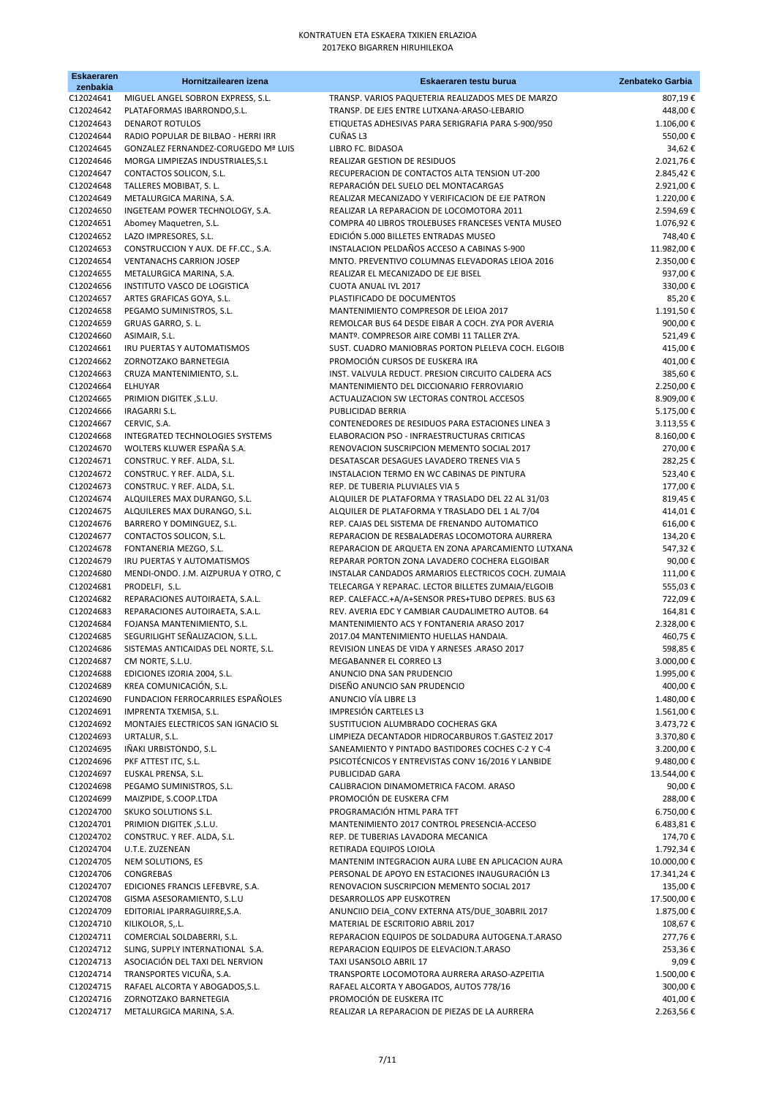| <b>Eskaeraren</b><br>zenbakia | Hornitzailearen izena                                          | Eskaeraren testu burua                                                                                 | Zenbateko Garbia        |
|-------------------------------|----------------------------------------------------------------|--------------------------------------------------------------------------------------------------------|-------------------------|
| C12024641                     | MIGUEL ANGEL SOBRON EXPRESS, S.L.                              | TRANSP. VARIOS PAQUETERIA REALIZADOS MES DE MARZO                                                      | 807,19€                 |
| C12024642                     | PLATAFORMAS IBARRONDO, S.L.                                    | TRANSP. DE EJES ENTRE LUTXANA-ARASO-LEBARIO                                                            | 448,00€                 |
| C12024643                     | <b>DENAROT ROTULOS</b>                                         | ETIQUETAS ADHESIVAS PARA SERIGRAFIA PARA S-900/950                                                     | 1.106,00€               |
| C12024644                     | RADIO POPULAR DE BILBAO - HERRI IRR                            | CUÑAS L3                                                                                               | 550,00€                 |
| C12024645                     | <b>GONZALEZ FERNANDEZ-CORUGEDO Mª LUIS</b>                     | LIBRO FC. BIDASOA                                                                                      | 34,62€                  |
| C12024646                     | MORGA LIMPIEZAS INDUSTRIALES, S.L.                             | REALIZAR GESTION DE RESIDUOS                                                                           | 2.021,76€               |
| C12024647                     | CONTACTOS SOLICON, S.L.                                        | RECUPERACION DE CONTACTOS ALTA TENSION UT-200                                                          | 2.845,42€               |
| C12024648<br>C12024649        | TALLERES MOBIBAT, S. L.<br>METALURGICA MARINA, S.A.            | REPARACIÓN DEL SUELO DEL MONTACARGAS<br>REALIZAR MECANIZADO Y VERIFICACION DE EJE PATRON               | 2.921,00€<br>1.220,00€  |
| C12024650                     | INGETEAM POWER TECHNOLOGY, S.A.                                | REALIZAR LA REPARACION DE LOCOMOTORA 2011                                                              | 2.594,69€               |
| C12024651                     | Abomey Maquetren, S.L.                                         | COMPRA 40 LIBROS TROLEBUSES FRANCESES VENTA MUSEO                                                      | 1.076,92€               |
| C12024652                     | LAZO IMPRESORES, S.L.                                          | EDICIÓN 5.000 BILLETES ENTRADAS MUSEO                                                                  | 748,40€                 |
| C12024653                     | CONSTRUCCION Y AUX. DE FF.CC., S.A.                            | INSTALACION PELDAÑOS ACCESO A CABINAS S-900                                                            | 11.982,00€              |
| C12024654                     | <b>VENTANACHS CARRION JOSEP</b>                                | MNTO. PREVENTIVO COLUMNAS ELEVADORAS LEIOA 2016                                                        | 2.350,00€               |
| C12024655                     | METALURGICA MARINA, S.A.                                       | REALIZAR EL MECANIZADO DE EJE BISEL                                                                    | 937,00€                 |
| C12024656                     | INSTITUTO VASCO DE LOGISTICA                                   | <b>CUOTA ANUAL IVL 2017</b>                                                                            | 330,00€                 |
| C12024657                     | ARTES GRAFICAS GOYA, S.L.                                      | PLASTIFICADO DE DOCUMENTOS                                                                             | 85,20€                  |
| C12024658                     | PEGAMO SUMINISTROS, S.L.                                       | MANTENIMIENTO COMPRESOR DE LEIOA 2017                                                                  | 1.191,50€               |
| C12024659<br>C12024660        | GRUAS GARRO, S. L.                                             | REMOLCAR BUS 64 DESDE EIBAR A COCH. ZYA POR AVERIA<br>MANTº. COMPRESOR AIRE COMBI 11 TALLER ZYA.       | 900,00€<br>521,49€      |
| C12024661                     | ASIMAIR, S.L.<br>IRU PUERTAS Y AUTOMATISMOS                    | SUST. CUADRO MANIOBRAS PORTON PLELEVA COCH. ELGOIB                                                     | 415,00€                 |
| C12024662                     | ZORNOTZAKO BARNETEGIA                                          | PROMOCIÓN CURSOS DE EUSKERA IRA                                                                        | 401,00€                 |
| C12024663                     | CRUZA MANTENIMIENTO, S.L.                                      | INST. VALVULA REDUCT. PRESION CIRCUITO CALDERA ACS                                                     | 385,60€                 |
| C12024664                     | ELHUYAR                                                        | MANTENIMIENTO DEL DICCIONARIO FERROVIARIO                                                              | 2.250,00€               |
| C12024665                     | PRIMION DIGITEK, S.L.U.                                        | ACTUALIZACION SW LECTORAS CONTROL ACCESOS                                                              | 8.909,00€               |
| C12024666                     | IRAGARRI S.L.                                                  | PUBLICIDAD BERRIA                                                                                      | 5.175,00€               |
| C12024667                     | CERVIC, S.A.                                                   | CONTENEDORES DE RESIDUOS PARA ESTACIONES LINEA 3                                                       | 3.113,55 €              |
| C12024668                     | INTEGRATED TECHNOLOGIES SYSTEMS                                | ELABORACION PSO - INFRAESTRUCTURAS CRITICAS                                                            | 8.160,00€               |
| C12024670                     | WOLTERS KLUWER ESPAÑA S.A.                                     | RENOVACION SUSCRIPCION MEMENTO SOCIAL 2017                                                             | 270,00€                 |
| C12024671                     | CONSTRUC. Y REF. ALDA, S.L.                                    | DESATASCAR DESAGUES LAVADERO TRENES VIA 5                                                              | 282,25€                 |
| C12024672<br>C12024673        | CONSTRUC. Y REF. ALDA, S.L.                                    | INSTALACION TERMO EN WC CABINAS DE PINTURA<br>REP. DE TUBERIA PLUVIALES VIA 5                          | 523,40€<br>177,00€      |
| C12024674                     | CONSTRUC. Y REF. ALDA, S.L.<br>ALQUILERES MAX DURANGO, S.L.    | ALQUILER DE PLATAFORMA Y TRASLADO DEL 22 AL 31/03                                                      | 819,45€                 |
| C12024675                     | ALQUILERES MAX DURANGO, S.L.                                   | ALQUILER DE PLATAFORMA Y TRASLADO DEL 1 AL 7/04                                                        | 414,01€                 |
| C12024676                     | BARRERO Y DOMINGUEZ, S.L.                                      | REP. CAJAS DEL SISTEMA DE FRENANDO AUTOMATICO                                                          | 616,00€                 |
| C12024677                     | CONTACTOS SOLICON, S.L.                                        | REPARACION DE RESBALADERAS LOCOMOTORA AURRERA                                                          | 134,20€                 |
| C12024678                     | FONTANERIA MEZGO, S.L.                                         | REPARACION DE ARQUETA EN ZONA APARCAMIENTO LUTXANA                                                     | 547,32€                 |
| C12024679                     | IRU PUERTAS Y AUTOMATISMOS                                     | REPARAR PORTON ZONA LAVADERO COCHERA ELGOIBAR                                                          | 90,00€                  |
| C12024680                     | MENDI-ONDO. J.M. AIZPURUA Y OTRO, C                            | INSTALAR CANDADOS ARMARIOS ELECTRICOS COCH. ZUMAIA                                                     | 111,00€                 |
| C12024681                     | PRODELFI, S.L.                                                 | TELECARGA Y REPARAC. LECTOR BILLETES ZUMAIA/ELGOIB                                                     | 555,03€                 |
| C12024682<br>C12024683        | REPARACIONES AUTOIRAETA, S.A.L.                                | REP. CALEFACC.+A/A+SENSOR PRES+TUBO DEPRES. BUS 63<br>REV. AVERIA EDC Y CAMBIAR CAUDALIMETRO AUTOB. 64 | 722,09€<br>164,81€      |
| C12024684                     | REPARACIONES AUTOIRAETA, S.A.L.<br>FOJANSA MANTENIMIENTO, S.L. | MANTENIMIENTO ACS Y FONTANERIA ARASO 2017                                                              | 2.328,00€               |
| C12024685                     | SEGURILIGHT SEÑALIZACION, S.L.L.                               | 2017.04 MANTENIMIENTO HUELLAS HANDAIA.                                                                 | 460,75€                 |
| C12024686                     | SISTEMAS ANTICAIDAS DEL NORTE, S.L.                            | REVISION LINEAS DE VIDA Y ARNESES .ARASO 2017                                                          | 598,85€                 |
| C12024687                     | CM NORTE, S.L.U.                                               | MEGABANNER EL CORREO L3                                                                                | 3.000,00 €              |
| C12024688                     | EDICIONES IZORIA 2004, S.L.                                    | ANUNCIO DNA SAN PRUDENCIO                                                                              | 1.995,00€               |
| C12024689                     | KREA COMUNICACIÓN, S.L.                                        | DISEÑO ANUNCIO SAN PRUDENCIO                                                                           | 400,00€                 |
| C12024690                     | FUNDACION FERROCARRILES ESPAÑOLES                              | ANUNCIO VÍA LIBRE L3                                                                                   | 1.480,00€               |
| C12024691                     | IMPRENTA TXEMISA, S.L.                                         | IMPRESIÓN CARTELES L3                                                                                  | 1.561,00€               |
| C12024692<br>C12024693        | MONTAJES ELECTRICOS SAN IGNACIO SL<br>URTALUR, S.L.            | SUSTITUCION ALUMBRADO COCHERAS GKA<br>LIMPIEZA DECANTADOR HIDROCARBUROS T.GASTEIZ 2017                 | 3.473,72€<br>3.370,80€  |
| C12024695                     | IÑAKI URBISTONDO, S.L.                                         | SANEAMIENTO Y PINTADO BASTIDORES COCHES C-2 Y C-4                                                      | 3.200,00 €              |
| C12024696                     | PKF ATTEST ITC, S.L.                                           | PSICOTÉCNICOS Y ENTREVISTAS CONV 16/2016 Y LANBIDE                                                     | 9.480,00€               |
| C12024697                     | EUSKAL PRENSA, S.L.                                            | PUBLICIDAD GARA                                                                                        | 13.544,00 €             |
| C12024698                     | PEGAMO SUMINISTROS, S.L.                                       | CALIBRACION DINAMOMETRICA FACOM. ARASO                                                                 | 90,00€                  |
| C12024699                     | MAIZPIDE, S.COOP.LTDA                                          | PROMOCIÓN DE EUSKERA CFM                                                                               | 288,00€                 |
| C12024700                     | SKUKO SOLUTIONS S.L.                                           | PROGRAMACIÓN HTML PARA TFT                                                                             | 6.750,00€               |
| C12024701                     | PRIMION DIGITEK, S.L.U.                                        | MANTENIMIENTO 2017 CONTROL PRESENCIA-ACCESO                                                            | 6.483,81€               |
| C12024702                     | CONSTRUC. Y REF. ALDA, S.L.                                    | REP. DE TUBERIAS LAVADORA MECANICA                                                                     | 174,70€                 |
| C12024704<br>C12024705        | U.T.E. ZUZENEAN<br>NEM SOLUTIONS, ES                           | RETIRADA EQUIPOS LOIOLA<br>MANTENIM INTEGRACION AURA LUBE EN APLICACION AURA                           | 1.792,34€<br>10.000,00€ |
| C12024706                     | CONGREBAS                                                      | PERSONAL DE APOYO EN ESTACIONES INAUGURACIÓN L3                                                        | 17.341,24€              |
| C12024707                     | EDICIONES FRANCIS LEFEBVRE, S.A.                               | RENOVACION SUSCRIPCION MEMENTO SOCIAL 2017                                                             | 135,00€                 |
| C12024708                     | GISMA ASESORAMIENTO, S.L.U                                     | DESARROLLOS APP EUSKOTREN                                                                              | 17.500,00€              |
| C12024709                     | EDITORIAL IPARRAGUIRRE, S.A.                                   | ANUNCIIO DEIA_CONV EXTERNA ATS/DUE_30ABRIL 2017                                                        | 1.875,00€               |
| C12024710                     | KILIKOLOR, S,.L.                                               | MATERIAL DE ESCRITORIO ABRIL 2017                                                                      | 108,67€                 |
| C12024711                     | COMERCIAL SOLDABERRI, S.L.                                     | REPARACION EQUIPOS DE SOLDADURA AUTOGENA.T.ARASO                                                       | 277,76€                 |
| C12024712                     | SLING, SUPPLY INTERNATIONAL S.A.                               | REPARACION EQUIPOS DE ELEVACION.T.ARASO                                                                | 253,36€                 |
| C12024713                     | ASOCIACIÓN DEL TAXI DEL NERVION                                | TAXI USANSOLO ABRIL 17                                                                                 | 9,09€                   |
| C12024714                     | TRANSPORTES VICUÑA, S.A.                                       | TRANSPORTE LOCOMOTORA AURRERA ARASO-AZPEITIA                                                           | 1.500,00€               |
| C12024715<br>C12024716        | RAFAEL ALCORTA Y ABOGADOS, S.L.<br>ZORNOTZAKO BARNETEGIA       | RAFAEL ALCORTA Y ABOGADOS, AUTOS 778/16<br>PROMOCIÓN DE EUSKERA ITC                                    | 300,00€<br>401,00€      |
| C12024717                     | METALURGICA MARINA, S.A.                                       | REALIZAR LA REPARACION DE PIEZAS DE LA AURRERA                                                         | 2.263,56€               |
|                               |                                                                |                                                                                                        |                         |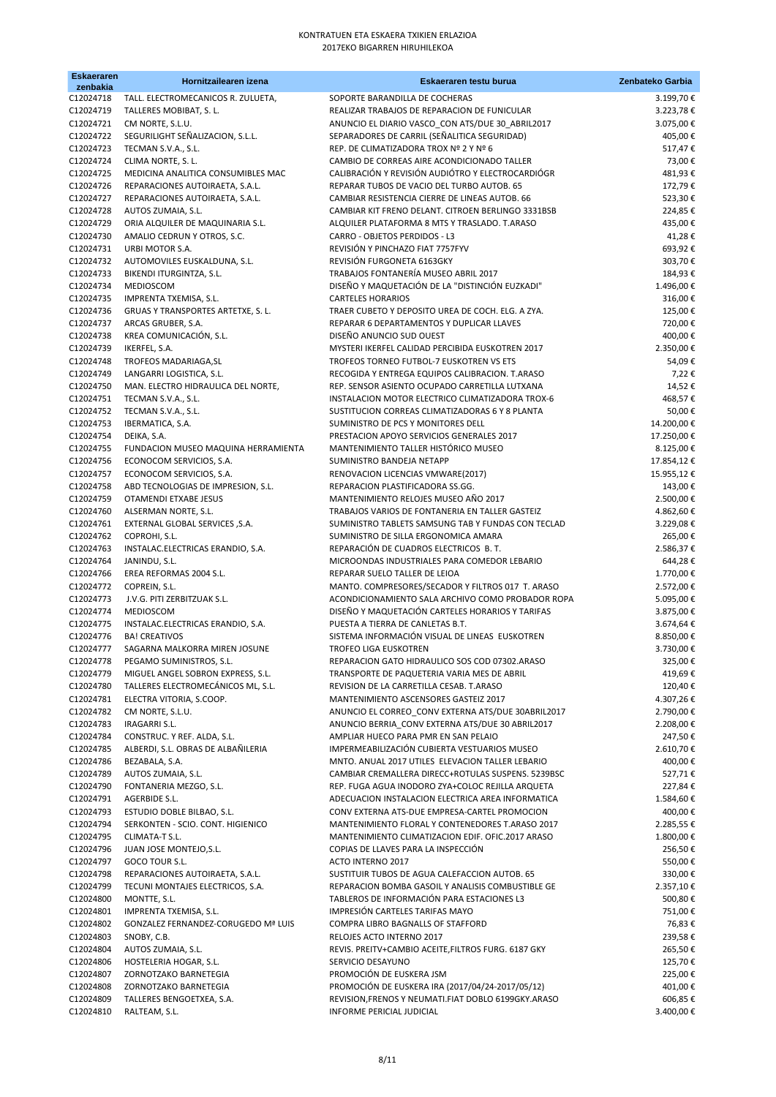| <b>Eskaeraren</b><br>zenbakia | Hornitzailearen izena                                             | Eskaeraren testu burua                                                                                 | Zenbateko Garbia        |
|-------------------------------|-------------------------------------------------------------------|--------------------------------------------------------------------------------------------------------|-------------------------|
| C12024718                     | TALL. ELECTROMECANICOS R. ZULUETA,                                | SOPORTE BARANDILLA DE COCHERAS                                                                         | 3.199,70€               |
| C12024719                     | TALLERES MOBIBAT, S. L.                                           | REALIZAR TRABAJOS DE REPARACION DE FUNICULAR                                                           | 3.223,78€               |
| C12024721                     | CM NORTE, S.L.U.                                                  | ANUNCIO EL DIARIO VASCO_CON ATS/DUE 30_ABRIL2017                                                       | 3.075,00€               |
| C12024722                     | SEGURILIGHT SEÑALIZACION, S.L.L.                                  | SEPARADORES DE CARRIL (SEÑALITICA SEGURIDAD)                                                           | 405,00€                 |
| C12024723<br>C12024724        | TECMAN S.V.A., S.L.<br>CLIMA NORTE, S. L.                         | REP. DE CLIMATIZADORA TROX Nº 2 Y Nº 6                                                                 | 517,47€                 |
| C12024725                     | MEDICINA ANALITICA CONSUMIBLES MAC                                | CAMBIO DE CORREAS AIRE ACONDICIONADO TALLER<br>CALIBRACIÓN Y REVISIÓN AUDIÓTRO Y ELECTROCARDIÓGR       | 73,00€<br>481,93€       |
| C12024726                     | REPARACIONES AUTOIRAETA, S.A.L.                                   | REPARAR TUBOS DE VACIO DEL TURBO AUTOB. 65                                                             | 172,79€                 |
| C12024727                     | REPARACIONES AUTOIRAETA, S.A.L.                                   | CAMBIAR RESISTENCIA CIERRE DE LINEAS AUTOB. 66                                                         | 523,30€                 |
| C12024728                     | AUTOS ZUMAIA, S.L.                                                | CAMBIAR KIT FRENO DELANT. CITROEN BERLINGO 3331BSB                                                     | 224,85€                 |
| C12024729<br>C12024730        | ORIA ALQUILER DE MAQUINARIA S.L.<br>AMALIO CEDRUN Y OTROS, S.C.   | ALQUILER PLATAFORMA 8 MTS Y TRASLADO. T.ARASO<br>CARRO - OBJETOS PERDIDOS - L3                         | 435,00€<br>41,28€       |
| C12024731                     | URBI MOTOR S.A.                                                   | REVISIÓN Y PINCHAZO FIAT 7757FYV                                                                       | 693,92€                 |
| C12024732                     | AUTOMOVILES EUSKALDUNA, S.L.                                      | REVISIÓN FURGONETA 6163GKY                                                                             | 303,70€                 |
| C12024733                     | BIKENDI ITURGINTZA, S.L.                                          | TRABAJOS FONTANERÍA MUSEO ABRIL 2017                                                                   | 184,93€                 |
| C12024734                     | MEDIOSCOM                                                         | DISEÑO Y MAQUETACIÓN DE LA "DISTINCIÓN EUZKADI"                                                        | 1.496,00€               |
| C12024735<br>C12024736        | IMPRENTA TXEMISA, S.L.<br>GRUAS Y TRANSPORTES ARTETXE, S. L.      | <b>CARTELES HORARIOS</b><br>TRAER CUBETO Y DEPOSITO UREA DE COCH. ELG. A ZYA.                          | 316,00€<br>125,00€      |
| C12024737                     | ARCAS GRUBER, S.A.                                                | REPARAR 6 DEPARTAMENTOS Y DUPLICAR LLAVES                                                              | 720,00€                 |
| C12024738                     | KREA COMUNICACIÓN, S.L.                                           | DISEÑO ANUNCIO SUD OUEST                                                                               | 400,00€                 |
| C12024739                     | IKERFEL, S.A.                                                     | MYSTERI IKERFEL CALIDAD PERCIBIDA EUSKOTREN 2017                                                       | 2.350,00€               |
| C12024748                     | TROFEOS MADARIAGA, SL                                             | TROFEOS TORNEO FUTBOL-7 EUSKOTREN VS ETS                                                               | 54,09€                  |
| C12024749<br>C12024750        | LANGARRI LOGISTICA, S.L.<br>MAN. ELECTRO HIDRAULICA DEL NORTE,    | RECOGIDA Y ENTREGA EQUIPOS CALIBRACION. T.ARASO<br>REP. SENSOR ASIENTO OCUPADO CARRETILLA LUTXANA      | 7,22€<br>14,52€         |
| C12024751                     | TECMAN S.V.A., S.L.                                               | INSTALACION MOTOR ELECTRICO CLIMATIZADORA TROX-6                                                       | 468,57€                 |
| C12024752                     | TECMAN S.V.A., S.L.                                               | SUSTITUCION CORREAS CLIMATIZADORAS 6 Y 8 PLANTA                                                        | 50,00€                  |
| C12024753                     | IBERMATICA, S.A.                                                  | SUMINISTRO DE PCS Y MONITORES DELL                                                                     | 14.200,00€              |
| C12024754                     | DEIKA, S.A.                                                       | PRESTACION APOYO SERVICIOS GENERALES 2017                                                              | 17.250,00€              |
| C12024755<br>C12024756        | FUNDACION MUSEO MAQUINA HERRAMIENTA<br>ECONOCOM SERVICIOS, S.A.   | MANTENIMIENTO TALLER HISTÓRICO MUSEO<br>SUMINISTRO BANDEJA NETAPP                                      | 8.125,00€<br>17.854,12€ |
| C12024757                     | ECONOCOM SERVICIOS, S.A.                                          | RENOVACION LICENCIAS VMWARE(2017)                                                                      | 15.955,12€              |
| C12024758                     | ABD TECNOLOGIAS DE IMPRESION, S.L.                                | REPARACION PLASTIFICADORA SS.GG.                                                                       | 143,00€                 |
| C12024759                     | OTAMENDI ETXABE JESUS                                             | MANTENIMIENTO RELOJES MUSEO AÑO 2017                                                                   | 2.500,00€               |
| C12024760                     | ALSERMAN NORTE, S.L.                                              | TRABAJOS VARIOS DE FONTANERIA EN TALLER GASTEIZ                                                        | 4.862,60€               |
| C12024761<br>C12024762        | EXTERNAL GLOBAL SERVICES , S.A.<br>COPROHI, S.L.                  | SUMINISTRO TABLETS SAMSUNG TAB Y FUNDAS CON TECLAD<br>SUMINISTRO DE SILLA ERGONOMICA AMARA             | 3.229,08€<br>265,00€    |
| C12024763                     | INSTALAC.ELECTRICAS ERANDIO, S.A.                                 | REPARACIÓN DE CUADROS ELECTRICOS B.T.                                                                  | 2.586,37€               |
| C12024764                     | JANINDU, S.L.                                                     | MICROONDAS INDUSTRIALES PARA COMEDOR LEBARIO                                                           | 644,28€                 |
| C12024766                     | EREA REFORMAS 2004 S.L.                                           | REPARAR SUELO TALLER DE LEIOA                                                                          | 1.770,00€               |
| C12024772                     | COPREIN, S.L.                                                     | MANTO. COMPRESORES/SECADOR Y FILTROS 017 T. ARASO<br>ACONDICIONAMIENTO SALA ARCHIVO COMO PROBADOR ROPA | 2.572,00 €              |
| C12024773<br>C12024774        | J.V.G. PITI ZERBITZUAK S.L.<br><b>MEDIOSCOM</b>                   | DISEÑO Y MAQUETACIÓN CARTELES HORARIOS Y TARIFAS                                                       | 5.095,00€<br>3.875,00€  |
| C12024775                     | INSTALAC.ELECTRICAS ERANDIO, S.A.                                 | PUESTA A TIERRA DE CANLETAS B.T.                                                                       | 3.674,64€               |
| C12024776                     | <b>BA! CREATIVOS</b>                                              | SISTEMA INFORMACIÓN VISUAL DE LINEAS EUSKOTREN                                                         | 8.850,00€               |
| C12024777                     | SAGARNA MALKORRA MIREN JOSUNE                                     | <b>TROFEO LIGA EUSKOTREN</b>                                                                           | 3.730,00€               |
| C12024778<br>C12024779        | PEGAMO SUMINISTROS, S.L.<br>MIGUEL ANGEL SOBRON EXPRESS, S.L.     | REPARACION GATO HIDRAULICO SOS COD 07302.ARASO<br>TRANSPORTE DE PAQUETERIA VARIA MES DE ABRIL          | 325,00€<br>419,69€      |
| C12024780                     | TALLERES ELECTROMECÁNICOS ML, S.L.                                | REVISION DE LA CARRETILLA CESAB. T.ARASO                                                               | 120,40€                 |
| C12024781                     | ELECTRA VITORIA, S.COOP.                                          | MANTENIMIENTO ASCENSORES GASTEIZ 2017                                                                  | 4.307,26€               |
| C12024782                     | CM NORTE, S.L.U.                                                  | ANUNCIO EL CORREO_CONV EXTERNA ATS/DUE 30ABRIL2017                                                     | 2.790,00€               |
| C12024783                     | IRAGARRI S.L.                                                     | ANUNCIO BERRIA CONV EXTERNA ATS/DUE 30 ABRIL2017                                                       | 2.208,00€               |
| C12024784<br>C12024785        | CONSTRUC. Y REF. ALDA, S.L.<br>ALBERDI, S.L. OBRAS DE ALBAÑILERIA | AMPLIAR HUECO PARA PMR EN SAN PELAIO<br>IMPERMEABILIZACIÓN CUBIERTA VESTUARIOS MUSEO                   | 247,50€<br>2.610,70€    |
| C12024786                     | BEZABALA, S.A.                                                    | MNTO. ANUAL 2017 UTILES ELEVACION TALLER LEBARIO                                                       | 400,00€                 |
| C12024789                     | AUTOS ZUMAIA, S.L.                                                | CAMBIAR CREMALLERA DIRECC+ROTULAS SUSPENS. 5239BSC                                                     | 527,71€                 |
| C12024790                     | FONTANERIA MEZGO, S.L.                                            | REP. FUGA AGUA INODORO ZYA+COLOC REJILLA ARQUETA                                                       | 227,84€                 |
| C12024791                     | AGERBIDE S.L.                                                     | ADECUACION INSTALACION ELECTRICA AREA INFORMATICA                                                      | 1.584,60€               |
| C12024793<br>C12024794        | ESTUDIO DOBLE BILBAO, S.L.<br>SERKONTEN - SCIO. CONT. HIGIENICO   | CONV EXTERNA ATS-DUE EMPRESA-CARTEL PROMOCION<br>MANTENIMIENTO FLORAL Y CONTENEDORES T.ARASO 2017      | 400,00€<br>2.285,55€    |
| C12024795                     | CLIMATA-T S.L.                                                    | MANTENIMIENTO CLIMATIZACION EDIF. OFIC.2017 ARASO                                                      | 1.800,00€               |
| C12024796                     | JUAN JOSE MONTEJO, S.L.                                           | COPIAS DE LLAVES PARA LA INSPECCIÓN                                                                    | 256,50€                 |
| C12024797                     | GOCO TOUR S.L.                                                    | ACTO INTERNO 2017                                                                                      | 550,00€                 |
| C12024798                     | REPARACIONES AUTOIRAETA, S.A.L.                                   | SUSTITUIR TUBOS DE AGUA CALEFACCION AUTOB. 65                                                          | 330,00€                 |
| C12024799<br>C12024800        | TECUNI MONTAJES ELECTRICOS, S.A.<br>MONTTE, S.L.                  | REPARACION BOMBA GASOIL Y ANALISIS COMBUSTIBLE GE<br>TABLEROS DE INFORMACIÓN PARA ESTACIONES L3        | 2.357,10€<br>500,80€    |
| C12024801                     | IMPRENTA TXEMISA, S.L.                                            | IMPRESIÓN CARTELES TARIFAS MAYO                                                                        | 751,00€                 |
| C12024802                     | <b>GONZALEZ FERNANDEZ-CORUGEDO Mª LUIS</b>                        | COMPRA LIBRO BAGNALLS OF STAFFORD                                                                      | 76,83€                  |
| C12024803                     | SNOBY, C.B.                                                       | RELOJES ACTO INTERNO 2017                                                                              | 239,58€                 |
| C12024804                     | AUTOS ZUMAIA, S.L.                                                | REVIS. PREITV+CAMBIO ACEITE, FILTROS FURG. 6187 GKY                                                    | 265,50€                 |
| C12024806<br>C12024807        | HOSTELERIA HOGAR, S.L.<br>ZORNOTZAKO BARNETEGIA                   | SERVICIO DESAYUNO<br>PROMOCIÓN DE EUSKERA JSM                                                          | 125,70€<br>225,00€      |
| C12024808                     | ZORNOTZAKO BARNETEGIA                                             | PROMOCIÓN DE EUSKERA IRA (2017/04/24-2017/05/12)                                                       | 401,00€                 |
| C12024809                     | TALLERES BENGOETXEA, S.A.                                         | REVISION, FRENOS Y NEUMATI. FIAT DOBLO 6199GKY. ARASO                                                  | 606,85€                 |
| C12024810                     | RALTEAM, S.L.                                                     | INFORME PERICIAL JUDICIAL                                                                              | 3.400,00€               |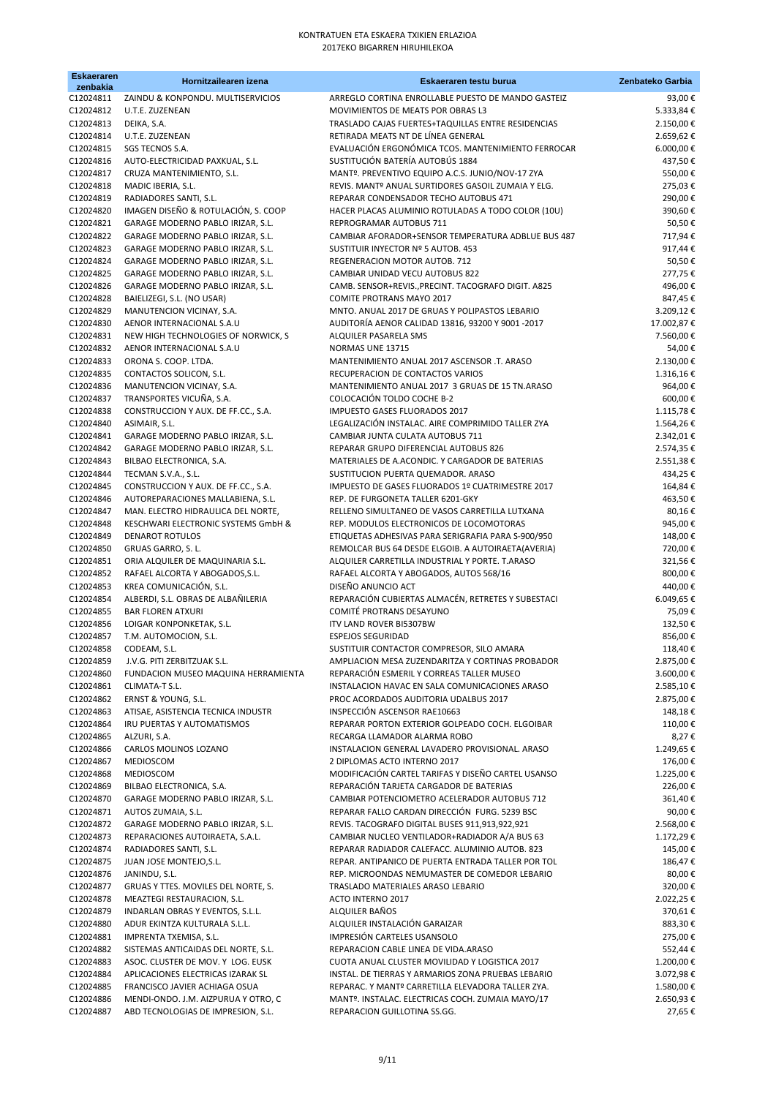| <b>Eskaeraren</b><br>zenbakia | Hornitzailearen izena                                                     | Eskaeraren testu burua                                                                                  | Zenbateko Garbia        |
|-------------------------------|---------------------------------------------------------------------------|---------------------------------------------------------------------------------------------------------|-------------------------|
| C12024811                     | ZAINDU & KONPONDU. MULTISERVICIOS                                         | ARREGLO CORTINA ENROLLABLE PUESTO DE MANDO GASTEIZ                                                      | 93,00€                  |
| C12024812                     | U.T.E. ZUZENEAN                                                           | MOVIMIENTOS DE MEATS POR OBRAS L3                                                                       | 5.333,84 €              |
| C12024813                     | DEIKA, S.A.                                                               | TRASLADO CAJAS FUERTES+TAQUILLAS ENTRE RESIDENCIAS                                                      | 2.150,00€               |
| C12024814<br>C12024815        | U.T.E. ZUZENEAN                                                           | RETIRADA MEATS NT DE LÍNEA GENERAL<br>EVALUACIÓN ERGONÓMICA TCOS. MANTENIMIENTO FERROCAR                | 2.659,62€<br>6.000,00€  |
| C12024816                     | SGS TECNOS S.A.<br>AUTO-ELECTRICIDAD PAXKUAL, S.L.                        | SUSTITUCIÓN BATERÍA AUTOBÚS 1884                                                                        | 437,50€                 |
| C12024817                     | CRUZA MANTENIMIENTO, S.L.                                                 | MANT <sup>o</sup> . PREVENTIVO EQUIPO A.C.S. JUNIO/NOV-17 ZYA                                           | 550,00€                 |
| C12024818                     | MADIC IBERIA, S.L.                                                        | REVIS. MANTº ANUAL SURTIDORES GASOIL ZUMAIA Y ELG.                                                      | 275,03€                 |
| C12024819                     | RADIADORES SANTI, S.L.                                                    | REPARAR CONDENSADOR TECHO AUTOBUS 471                                                                   | 290,00€                 |
| C12024820                     | IMAGEN DISEÑO & ROTULACIÓN, S. COOP                                       | HACER PLACAS ALUMINIO ROTULADAS A TODO COLOR (10U)                                                      | 390,60€                 |
| C12024821                     | GARAGE MODERNO PABLO IRIZAR, S.L.                                         | REPROGRAMAR AUTOBUS 711                                                                                 | 50,50€                  |
| C12024822<br>C12024823        | GARAGE MODERNO PABLO IRIZAR, S.L.<br>GARAGE MODERNO PABLO IRIZAR, S.L.    | CAMBIAR AFORADOR+SENSOR TEMPERATURA ADBLUE BUS 487<br>SUSTITUIR INYECTOR Nº 5 AUTOB. 453                | 717,94€<br>917,44€      |
| C12024824                     | GARAGE MODERNO PABLO IRIZAR, S.L.                                         | REGENERACION MOTOR AUTOB. 712                                                                           | 50,50€                  |
| C12024825                     | GARAGE MODERNO PABLO IRIZAR, S.L.                                         | CAMBIAR UNIDAD VECU AUTOBUS 822                                                                         | 277,75€                 |
| C12024826                     | GARAGE MODERNO PABLO IRIZAR, S.L.                                         | CAMB. SENSOR+REVIS., PRECINT. TACOGRAFO DIGIT. A825                                                     | 496,00€                 |
| C12024828                     | BAIELIZEGI, S.L. (NO USAR)                                                | COMITE PROTRANS MAYO 2017                                                                               | 847,45€                 |
| C12024829                     | MANUTENCION VICINAY, S.A.                                                 | MNTO. ANUAL 2017 DE GRUAS Y POLIPASTOS LEBARIO                                                          | 3.209,12€               |
| C12024830<br>C12024831        | AENOR INTERNACIONAL S.A.U<br>NEW HIGH TECHNOLOGIES OF NORWICK, S          | AUDITORÍA AENOR CALIDAD 13816, 93200 Y 9001 -2017<br>ALQUILER PASARELA SMS                              | 17.002,87€<br>7.560,00€ |
| C12024832                     | AENOR INTERNACIONAL S.A.U                                                 | NORMAS UNE 13715                                                                                        | 54,00€                  |
| C12024833                     | ORONA S. COOP. LTDA.                                                      | MANTENIMIENTO ANUAL 2017 ASCENSOR .T. ARASO                                                             | 2.130,00€               |
| C12024835                     | CONTACTOS SOLICON, S.L.                                                   | RECUPERACION DE CONTACTOS VARIOS                                                                        | 1.316,16€               |
| C12024836                     | MANUTENCION VICINAY, S.A.                                                 | MANTENIMIENTO ANUAL 2017 3 GRUAS DE 15 TN.ARASO                                                         | 964,00€                 |
| C12024837                     | TRANSPORTES VICUÑA, S.A.                                                  | COLOCACIÓN TOLDO COCHE B-2                                                                              | 600,00€                 |
| C12024838                     | CONSTRUCCION Y AUX. DE FF.CC., S.A.                                       | IMPUESTO GASES FLUORADOS 2017                                                                           | 1.115,78€               |
| C12024840<br>C12024841        | ASIMAIR, S.L.<br>GARAGE MODERNO PABLO IRIZAR, S.L.                        | LEGALIZACIÓN INSTALAC. AIRE COMPRIMIDO TALLER ZYA<br>CAMBIAR JUNTA CULATA AUTOBUS 711                   | 1.564,26€<br>2.342,01€  |
| C12024842                     | GARAGE MODERNO PABLO IRIZAR, S.L.                                         | REPARAR GRUPO DIFERENCIAL AUTOBUS 826                                                                   | 2.574,35€               |
| C12024843                     | BILBAO ELECTRONICA, S.A.                                                  | MATERIALES DE A.ACONDIC. Y CARGADOR DE BATERIAS                                                         | 2.551,38€               |
| C12024844                     | TECMAN S.V.A., S.L.                                                       | SUSTITUCION PUERTA QUEMADOR. ARASO                                                                      | 434,25€                 |
| C12024845                     | CONSTRUCCION Y AUX. DE FF.CC., S.A.                                       | IMPUESTO DE GASES FLUORADOS 1º CUATRIMESTRE 2017                                                        | 164,84€                 |
| C12024846                     | AUTOREPARACIONES MALLABIENA, S.L.                                         | REP. DE FURGONETA TALLER 6201-GKY                                                                       | 463,50€                 |
| C12024847<br>C12024848        | MAN. ELECTRO HIDRAULICA DEL NORTE,<br>KESCHWARI ELECTRONIC SYSTEMS GmbH & | RELLENO SIMULTANEO DE VASOS CARRETILLA LUTXANA<br>REP. MODULOS ELECTRONICOS DE LOCOMOTORAS              | 80,16€<br>945,00€       |
| C12024849                     | <b>DENAROT ROTULOS</b>                                                    | ETIQUETAS ADHESIVAS PARA SERIGRAFIA PARA S-900/950                                                      | 148,00€                 |
| C12024850                     | GRUAS GARRO, S. L.                                                        | REMOLCAR BUS 64 DESDE ELGOIB. A AUTOIRAETA(AVERIA)                                                      | 720,00€                 |
| C12024851                     | ORIA ALQUILER DE MAQUINARIA S.L.                                          | ALQUILER CARRETILLA INDUSTRIAL Y PORTE. T.ARASO                                                         | 321,56€                 |
| C12024852                     | RAFAEL ALCORTA Y ABOGADOS, S.L.                                           | RAFAEL ALCORTA Y ABOGADOS, AUTOS 568/16                                                                 | 800,00€                 |
| C12024853                     | KREA COMUNICACIÓN, S.L.                                                   | DISEÑO ANUNCIO ACT                                                                                      | 440,00€                 |
| C12024854<br>C12024855        | ALBERDI, S.L. OBRAS DE ALBAÑILERIA<br><b>BAR FLOREN ATXURI</b>            | REPARACIÓN CUBIERTAS ALMACÉN, RETRETES Y SUBESTACI<br>COMITÉ PROTRANS DESAYUNO                          | 6.049,65€<br>75,09€     |
| C12024856                     | LOIGAR KONPONKETAK, S.L.                                                  | ITV LAND ROVER BI5307BW                                                                                 | 132,50€                 |
| C12024857                     | T.M. AUTOMOCION, S.L.                                                     | <b>ESPEJOS SEGURIDAD</b>                                                                                | 856,00€                 |
| C12024858                     | CODEAM, S.L.                                                              | SUSTITUIR CONTACTOR COMPRESOR, SILO AMARA                                                               | 118,40€                 |
| C12024859                     | J.V.G. PITI ZERBITZUAK S.L.                                               | AMPLIACION MESA ZUZENDARITZA Y CORTINAS PROBADOR                                                        | 2.875,00 €              |
| C12024860                     | FUNDACION MUSEO MAQUINA HERRAMIENTA                                       | REPARACIÓN ESMERIL Y CORREAS TALLER MUSEO                                                               | 3.600,00€               |
| C12024861                     | CLIMATA-T S.L.                                                            | INSTALACION HAVAC EN SALA COMUNICACIONES ARASO                                                          | 2.585,10€<br>2.875,00€  |
| C12024862<br>C12024863        | ERNST & YOUNG, S.L.<br>ATISAE, ASISTENCIA TECNICA INDUSTR                 | PROC ACORDADOS AUDITORIA UDALBUS 2017<br>INSPECCIÓN ASCENSOR RAE10663                                   | 148,18€                 |
| C12024864                     | IRU PUERTAS Y AUTOMATISMOS                                                | REPARAR PORTON EXTERIOR GOLPEADO COCH. ELGOIBAR                                                         | 110,00€                 |
| C12024865                     | ALZURI, S.A.                                                              | RECARGA LLAMADOR ALARMA ROBO                                                                            | 8,27€                   |
| C12024866                     | CARLOS MOLINOS LOZANO                                                     | INSTALACION GENERAL LAVADERO PROVISIONAL. ARASO                                                         | 1.249,65€               |
| C12024867                     | MEDIOSCOM                                                                 | 2 DIPLOMAS ACTO INTERNO 2017                                                                            | 176,00€                 |
| C12024868                     | MEDIOSCOM                                                                 | MODIFICACIÓN CARTEL TARIFAS Y DISEÑO CARTEL USANSO<br>REPARACIÓN TARJETA CARGADOR DE BATERIAS           | 1.225,00€               |
| C12024869<br>C12024870        | BILBAO ELECTRONICA, S.A.<br>GARAGE MODERNO PABLO IRIZAR, S.L.             | CAMBIAR POTENCIOMETRO ACELERADOR AUTOBUS 712                                                            | 226,00€<br>361,40€      |
| C12024871                     | AUTOS ZUMAIA, S.L.                                                        | REPARAR FALLO CARDAN DIRECCIÓN FURG. 5239 BSC                                                           | 90,00€                  |
| C12024872                     | GARAGE MODERNO PABLO IRIZAR, S.L.                                         | REVIS. TACOGRAFO DIGITAL BUSES 911,913,922,921                                                          | 2.568,00€               |
| C12024873                     | REPARACIONES AUTOIRAETA, S.A.L.                                           | CAMBIAR NUCLEO VENTILADOR+RADIADOR A/A BUS 63                                                           | 1.172,29€               |
| C12024874                     | RADIADORES SANTI, S.L.                                                    | REPARAR RADIADOR CALEFACC. ALUMINIO AUTOB. 823                                                          | 145,00€                 |
| C12024875                     | JUAN JOSE MONTEJO, S.L.                                                   | REPAR. ANTIPANICO DE PUERTA ENTRADA TALLER POR TOL                                                      | 186,47€                 |
| C12024876<br>C12024877        | JANINDU, S.L.<br>GRUAS Y TTES. MOVILES DEL NORTE, S.                      | REP. MICROONDAS NEMUMASTER DE COMEDOR LEBARIO<br>TRASLADO MATERIALES ARASO LEBARIO                      | 80,00€<br>320,00€       |
| C12024878                     | MEAZTEGI RESTAURACION, S.L.                                               | ACTO INTERNO 2017                                                                                       | 2.022,25€               |
| C12024879                     | INDARLAN OBRAS Y EVENTOS, S.L.L.                                          | ALQUILER BAÑOS                                                                                          | 370,61€                 |
| C12024880                     | ADUR EKINTZA KULTURALA S.L.L.                                             | ALQUILER INSTALACIÓN GARAIZAR                                                                           | 883,30€                 |
| C12024881                     | IMPRENTA TXEMISA, S.L.                                                    | IMPRESIÓN CARTELES USANSOLO                                                                             | 275,00€                 |
| C12024882                     | SISTEMAS ANTICAIDAS DEL NORTE, S.L.                                       | REPARACION CABLE LINEA DE VIDA.ARASO                                                                    | 552,44€                 |
| C12024883                     | ASOC. CLUSTER DE MOV. Y LOG. EUSK                                         | CUOTA ANUAL CLUSTER MOVILIDAD Y LOGISTICA 2017                                                          | 1.200,00€               |
| C12024884<br>C12024885        | APLICACIONES ELECTRICAS IZARAK SL<br>FRANCISCO JAVIER ACHIAGA OSUA        | INSTAL. DE TIERRAS Y ARMARIOS ZONA PRUEBAS LEBARIO<br>REPARAC. Y MANTº CARRETILLA ELEVADORA TALLER ZYA. | 3.072,98€<br>1.580,00€  |
| C12024886                     | MENDI-ONDO. J.M. AIZPURUA Y OTRO, C                                       | MANTº. INSTALAC. ELECTRICAS COCH. ZUMAIA MAYO/17                                                        | 2.650,93€               |
| C12024887                     | ABD TECNOLOGIAS DE IMPRESION, S.L.                                        | REPARACION GUILLOTINA SS.GG.                                                                            | 27,65€                  |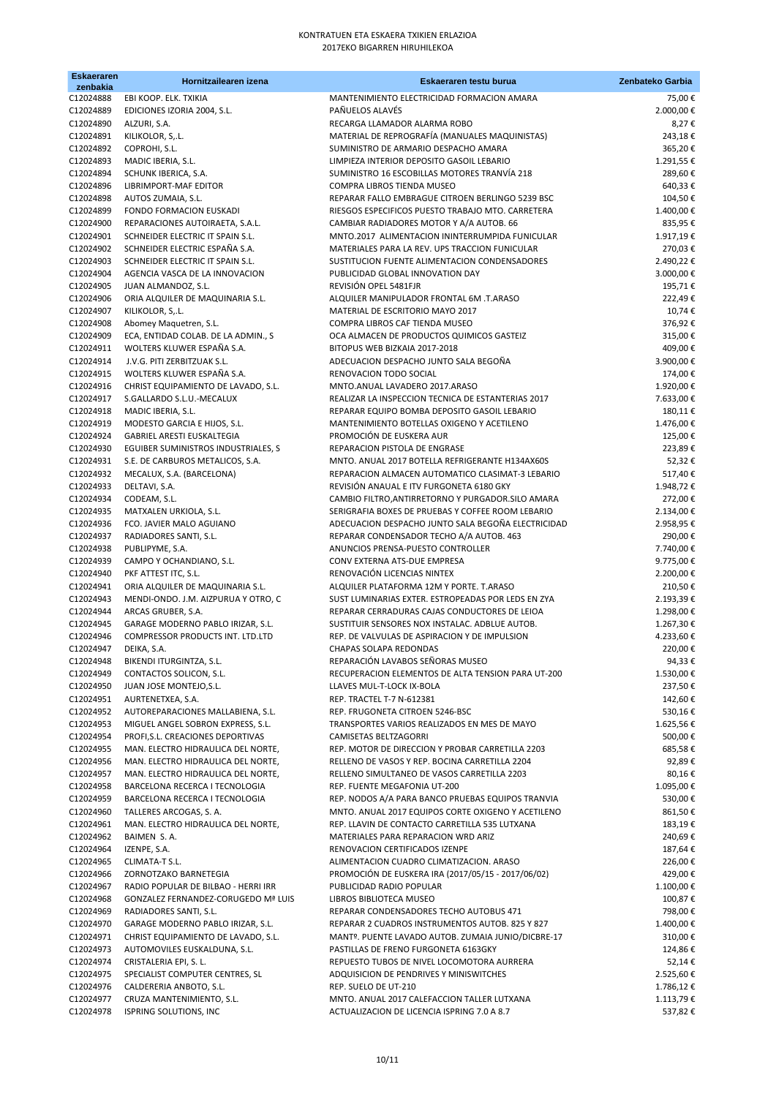| <b>Eskaeraren</b><br>zenbakia | Hornitzailearen izena                                                  | Eskaeraren testu burua                                                                                  | Zenbateko Garbia       |
|-------------------------------|------------------------------------------------------------------------|---------------------------------------------------------------------------------------------------------|------------------------|
| C12024888                     | EBI KOOP. ELK. TXIKIA                                                  | MANTENIMIENTO ELECTRICIDAD FORMACION AMARA                                                              | 75,00€                 |
| C12024889                     | EDICIONES IZORIA 2004, S.L.                                            | PAÑUELOS ALAVÉS                                                                                         | 2.000,00€              |
| C12024890                     | ALZURI, S.A.                                                           | RECARGA LLAMADOR ALARMA ROBO                                                                            | 8,27€                  |
| C12024891<br>C12024892        | KILIKOLOR, S.L.<br>COPROHI, S.L.                                       | MATERIAL DE REPROGRAFÍA (MANUALES MAQUINISTAS)<br>SUMINISTRO DE ARMARIO DESPACHO AMARA                  | 243,18€<br>365,20€     |
| C12024893                     | MADIC IBERIA, S.L.                                                     | LIMPIEZA INTERIOR DEPOSITO GASOIL LEBARIO                                                               | 1.291,55€              |
| C12024894                     | SCHUNK IBERICA, S.A.                                                   | SUMINISTRO 16 ESCOBILLAS MOTORES TRANVÍA 218                                                            | 289,60€                |
| C12024896                     | LIBRIMPORT-MAF EDITOR                                                  | COMPRA LIBROS TIENDA MUSEO                                                                              | 640,33€                |
| C12024898                     | AUTOS ZUMAIA, S.L.                                                     | REPARAR FALLO EMBRAGUE CITROEN BERLINGO 5239 BSC                                                        | 104,50€                |
| C12024899                     | FONDO FORMACION EUSKADI                                                | RIESGOS ESPECIFICOS PUESTO TRABAJO MTO. CARRETERA                                                       | 1.400,00€              |
| C12024900<br>C12024901        | REPARACIONES AUTOIRAETA, S.A.L.<br>SCHNEIDER ELECTRIC IT SPAIN S.L.    | CAMBIAR RADIADORES MOTOR Y A/A AUTOB. 66<br>MNTO.2017 ALIMENTACION ININTERRUMPIDA FUNICULAR             | 835,95€<br>1.917,19€   |
| C12024902                     | SCHNEIDER ELECTRIC ESPAÑA S.A.                                         | MATERIALES PARA LA REV. UPS TRACCION FUNICULAR                                                          | 270,03€                |
| C12024903                     | SCHNEIDER ELECTRIC IT SPAIN S.L.                                       | SUSTITUCION FUENTE ALIMENTACION CONDENSADORES                                                           | 2.490,22€              |
| C12024904                     | AGENCIA VASCA DE LA INNOVACION                                         | PUBLICIDAD GLOBAL INNOVATION DAY                                                                        | 3.000,00€              |
| C12024905                     | JUAN ALMANDOZ, S.L.                                                    | REVISIÓN OPEL 5481FJR                                                                                   | 195,71€                |
| C12024906                     | ORIA ALQUILER DE MAQUINARIA S.L.                                       | ALQUILER MANIPULADOR FRONTAL 6M .T.ARASO                                                                | 222,49€                |
| C12024907<br>C12024908        | KILIKOLOR, S,.L.<br>Abomey Maquetren, S.L.                             | MATERIAL DE ESCRITORIO MAYO 2017<br>COMPRA LIBROS CAF TIENDA MUSEO                                      | 10,74€<br>376,92€      |
| C12024909                     | ECA, ENTIDAD COLAB. DE LA ADMIN., S                                    | OCA ALMACEN DE PRODUCTOS QUIMICOS GASTEIZ                                                               | 315,00€                |
| C12024911                     | WOLTERS KLUWER ESPAÑA S.A.                                             | BITOPUS WEB BIZKAIA 2017-2018                                                                           | 409,00€                |
| C12024914                     | J.V.G. PITI ZERBITZUAK S.L.                                            | ADECUACION DESPACHO JUNTO SALA BEGOÑA                                                                   | 3.900,00€              |
| C12024915                     | WOLTERS KLUWER ESPAÑA S.A.                                             | RENOVACION TODO SOCIAL                                                                                  | 174,00€                |
| C12024916<br>C12024917        | CHRIST EQUIPAMIENTO DE LAVADO, S.L.                                    | MNTO.ANUAL LAVADERO 2017.ARASO<br>REALIZAR LA INSPECCION TECNICA DE ESTANTERIAS 2017                    | 1.920,00€<br>7.633,00€ |
| C12024918                     | S.GALLARDO S.L.U.-MECALUX<br>MADIC IBERIA, S.L.                        | REPARAR EQUIPO BOMBA DEPOSITO GASOIL LEBARIO                                                            | 180,11€                |
| C12024919                     | MODESTO GARCIA E HIJOS, S.L.                                           | MANTENIMIENTO BOTELLAS OXIGENO Y ACETILENO                                                              | 1.476,00€              |
| C12024924                     | GABRIEL ARESTI EUSKALTEGIA                                             | PROMOCIÓN DE EUSKERA AUR                                                                                | 125,00€                |
| C12024930                     | EGUIBER SUMINISTROS INDUSTRIALES, S                                    | REPARACION PISTOLA DE ENGRASE                                                                           | 223,89€                |
| C12024931                     | S.E. DE CARBUROS METALICOS, S.A.                                       | MNTO. ANUAL 2017 BOTELLA REFRIGERANTE H134AX60S                                                         | 52,32€                 |
| C12024932<br>C12024933        | MECALUX, S.A. (BARCELONA)<br>DELTAVI, S.A.                             | REPARACION ALMACEN AUTOMATICO CLASIMAT-3 LEBARIO<br>REVISIÓN ANAUAL E ITV FURGONETA 6180 GKY            | 517,40€<br>1.948,72€   |
| C12024934                     | CODEAM, S.L.                                                           | CAMBIO FILTRO, ANTIRRETORNO Y PURGADOR. SILO AMARA                                                      | 272,00€                |
| C12024935                     | MATXALEN URKIOLA, S.L.                                                 | SERIGRAFIA BOXES DE PRUEBAS Y COFFEE ROOM LEBARIO                                                       | 2.134,00€              |
| C12024936                     | FCO. JAVIER MALO AGUIANO                                               | ADECUACION DESPACHO JUNTO SALA BEGOÑA ELECTRICIDAD                                                      | 2.958,95€              |
| C12024937                     | RADIADORES SANTI, S.L.                                                 | REPARAR CONDENSADOR TECHO A/A AUTOB. 463                                                                | 290,00€                |
| C12024938                     | PUBLIPYME, S.A.                                                        | ANUNCIOS PRENSA-PUESTO CONTROLLER                                                                       | 7.740,00€              |
| C12024939<br>C12024940        | CAMPO Y OCHANDIANO, S.L.<br>PKF ATTEST ITC, S.L.                       | CONV EXTERNA ATS-DUE EMPRESA<br>RENOVACIÓN LICENCIAS NINTEX                                             | 9.775,00€<br>2.200,00€ |
| C12024941                     | ORIA ALQUILER DE MAQUINARIA S.L.                                       | ALQUILER PLATAFORMA 12M Y PORTE. T.ARASO                                                                | 210,50€                |
| C12024943                     | MENDI-ONDO. J.M. AIZPURUA Y OTRO, C                                    | SUST LUMINARIAS EXTER. ESTROPEADAS POR LEDS EN ZYA                                                      | 2.193,39€              |
| C12024944                     | ARCAS GRUBER, S.A.                                                     | REPARAR CERRADURAS CAJAS CONDUCTORES DE LEIOA                                                           | 1.298,00€              |
| C12024945                     | GARAGE MODERNO PABLO IRIZAR, S.L.                                      | SUSTITUIR SENSORES NOX INSTALAC. ADBLUE AUTOB.                                                          | 1.267,30€              |
| C12024946<br>C12024947        | COMPRESSOR PRODUCTS INT. LTD.LTD<br>DEIKA, S.A.                        | REP. DE VALVULAS DE ASPIRACION Y DE IMPULSION<br><b>CHAPAS SOLAPA REDONDAS</b>                          | 4.233,60€<br>220,00€   |
| C12024948                     | BIKENDI ITURGINTZA, S.L.                                               | REPARACIÓN LAVABOS SEÑORAS MUSEO                                                                        | 94,33€                 |
| C12024949                     | CONTACTOS SOLICON, S.L.                                                | RECUPERACION ELEMENTOS DE ALTA TENSION PARA UT-200                                                      | 1.530,00€              |
| C12024950                     | JUAN JOSE MONTEJO, S.L.                                                | LLAVES MUL-T-LOCK IX-BOLA                                                                               | 237,50€                |
| C12024951                     | AURTENETXEA, S.A.                                                      | REP. TRACTEL T-7 N-612381                                                                               | 142,60€                |
| C12024952<br>C12024953        | AUTOREPARACIONES MALLABIENA, S.L.<br>MIGUEL ANGEL SOBRON EXPRESS, S.L. | REP. FRUGONETA CITROEN 5246-BSC<br>TRANSPORTES VARIOS REALIZADOS EN MES DE MAYO                         | 530,16€<br>1.625,56€   |
| C12024954                     | PROFI, S.L. CREACIONES DEPORTIVAS                                      | CAMISETAS BELTZAGORRI                                                                                   | 500,00€                |
| C12024955                     | MAN. ELECTRO HIDRAULICA DEL NORTE,                                     | REP. MOTOR DE DIRECCION Y PROBAR CARRETILLA 2203                                                        | 685,58€                |
| C12024956                     | MAN. ELECTRO HIDRAULICA DEL NORTE,                                     | RELLENO DE VASOS Y REP. BOCINA CARRETILLA 2204                                                          | 92,89€                 |
| C12024957                     | MAN. ELECTRO HIDRAULICA DEL NORTE,                                     | RELLENO SIMULTANEO DE VASOS CARRETILLA 2203                                                             | 80,16€                 |
| C12024958                     | BARCELONA RECERCA I TECNOLOGIA                                         | REP. FUENTE MEGAFONIA UT-200                                                                            | 1.095,00€              |
| C12024959<br>C12024960        | BARCELONA RECERCA I TECNOLOGIA<br>TALLERES ARCOGAS, S. A.              | REP. NODOS A/A PARA BANCO PRUEBAS EQUIPOS TRANVIA<br>MNTO. ANUAL 2017 EQUIPOS CORTE OXIGENO Y ACETILENO | 530,00€<br>861,50€     |
| C12024961                     | MAN. ELECTRO HIDRAULICA DEL NORTE,                                     | REP. LLAVIN DE CONTACTO CARRETILLA 535 LUTXANA                                                          | 183,19€                |
| C12024962                     | BAIMEN S.A.                                                            | MATERIALES PARA REPARACION WRD ARIZ                                                                     | 240,69€                |
| C12024964                     | IZENPE, S.A.                                                           | RENOVACION CERTIFICADOS IZENPE                                                                          | 187,64 €               |
| C12024965                     | CLIMATA-T S.L.                                                         | ALIMENTACION CUADRO CLIMATIZACION. ARASO                                                                | 226,00€                |
| C12024966<br>C12024967        | ZORNOTZAKO BARNETEGIA<br>RADIO POPULAR DE BILBAO - HERRI IRR           | PROMOCIÓN DE EUSKERA IRA (2017/05/15 - 2017/06/02)<br>PUBLICIDAD RADIO POPULAR                          | 429,00€<br>1.100,00€   |
| C12024968                     | <b>GONZALEZ FERNANDEZ-CORUGEDO Mª LUIS</b>                             | LIBROS BIBLIOTECA MUSEO                                                                                 | 100,87€                |
| C12024969                     | RADIADORES SANTI, S.L.                                                 | REPARAR CONDENSADORES TECHO AUTOBUS 471                                                                 | 798,00€                |
| C12024970                     | GARAGE MODERNO PABLO IRIZAR, S.L.                                      | REPARAR 2 CUADROS INSTRUMENTOS AUTOB. 825 Y 827                                                         | 1.400,00€              |
| C12024971                     | CHRIST EQUIPAMIENTO DE LAVADO, S.L.                                    | MANTº. PUENTE LAVADO AUTOB. ZUMAIA JUNIO/DICBRE-17                                                      | 310,00€                |
| C12024973<br>C12024974        | AUTOMOVILES EUSKALDUNA, S.L.<br>CRISTALERIA EPI, S. L.                 | PASTILLAS DE FRENO FURGONETA 6163GKY<br>REPUESTO TUBOS DE NIVEL LOCOMOTORA AURRERA                      | 124,86€                |
| C12024975                     | SPECIALIST COMPUTER CENTRES, SL                                        | ADQUISICION DE PENDRIVES Y MINISWITCHES                                                                 | 52,14€<br>2.525,60€    |
| C12024976                     | CALDERERIA ANBOTO, S.L.                                                | REP. SUELO DE UT-210                                                                                    | 1.786,12€              |
| C12024977                     | CRUZA MANTENIMIENTO, S.L.                                              | MNTO. ANUAL 2017 CALEFACCION TALLER LUTXANA                                                             | 1.113,79€              |
| C12024978                     | <b>ISPRING SOLUTIONS, INC</b>                                          | ACTUALIZACION DE LICENCIA ISPRING 7.0 A 8.7                                                             | 537,82€                |